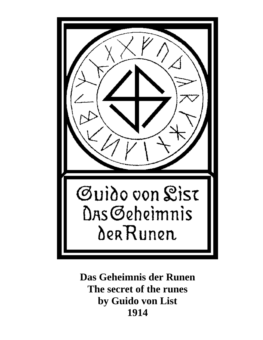

**Das Geheimnis der Runen The secret of the runes by Guido von List 1914**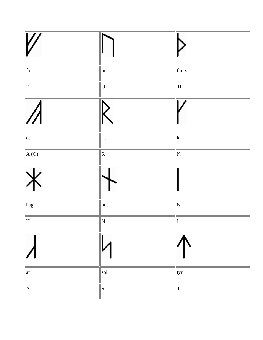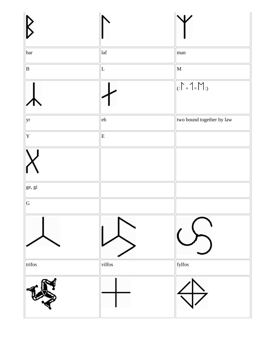| bar           | laf        | man                                              |
|---------------|------------|--------------------------------------------------|
| $\, {\bf B}$  | L          | $\mathbf M$                                      |
|               |            | $\sqrt{(1-\sum_{i=1}^{n} \sum_{i=1}^{n} x_i)^2}$ |
| $\, {\rm yr}$ | ${\rm eh}$ | two bound together by law                        |
| $\mathbf Y$   | $\vert$ E  |                                                  |
|               |            |                                                  |
| ge, gi        |            |                                                  |
| G             |            |                                                  |
|               |            |                                                  |
| trifos        | vilfos     | fylfos                                           |
|               |            |                                                  |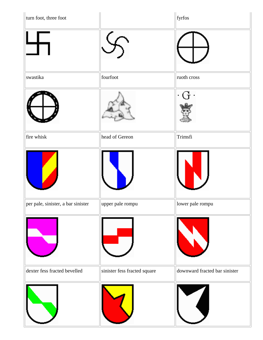| turn foot, three foot              |                              | fyrfos                        |
|------------------------------------|------------------------------|-------------------------------|
|                                    |                              |                               |
| swastika                           | $\operatorname{fourfoot}$    | ruoth cross                   |
|                                    |                              |                               |
| fire whisk                         | head of Gereon               | Trimsfi                       |
|                                    |                              |                               |
| per pale, sinister, a bar sinister | upper pale rompu             | $\parallel$ lower pale rompu  |
|                                    |                              |                               |
| dexter fess fracted bevelled       | sinister fess fracted square | downward fracted bar sinister |
|                                    |                              |                               |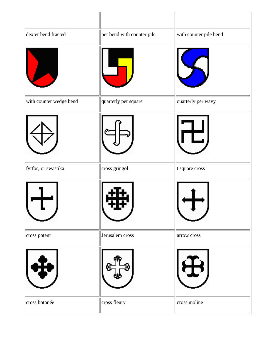| dexter bend fracted     | per bend with counter pile | with counter pile bend |
|-------------------------|----------------------------|------------------------|
|                         |                            |                        |
| with counter wedge bend | quarterly per square       | quarterly per wavy     |
|                         |                            |                        |
| fyrfos, or swastika     | cross gringol              | t square cross         |
|                         |                            |                        |
| cross potent            | Jerusalem cross            | arrow cross            |
|                         |                            |                        |
| cross botonée           | cross fleury               | cross moline           |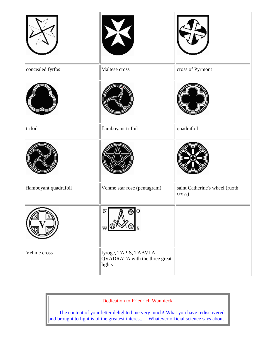|                       | X.                                                               |                                          |
|-----------------------|------------------------------------------------------------------|------------------------------------------|
| concealed fyrfos      | Maltese cross                                                    | cross of Pyrmont                         |
|                       |                                                                  |                                          |
| trifoil               | flamboyant trifoil                                               | quadrafoil                               |
|                       |                                                                  |                                          |
| flamboyant quadrafoil | Vehme star rose (pentagram)                                      | saint Catherine's wheel (ruoth<br>cross) |
|                       | N<br>О<br>W                                                      |                                          |
| Vehme cross           | fyroge, TAPIS, TABVLA<br>QVADRATA with the three great<br>lights |                                          |

## Dedication to Friedrich Wannieck

The content of your letter delighted me very much! What you have rediscovered and brought to light is of the greatest interest. -- Whatever official science says about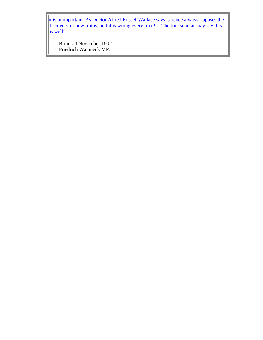it is unimportant. As Doctor Alfred Russel-Wallace says, science always opposes the discovery of new truths, and it is wrong every time! -- The true scholar may say this as well!

Brünn: 4 November 1902 Friedrich Wannieck MP.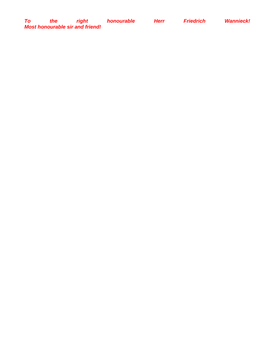*To the right honourable Herr Friedrich Wannieck! Most honourable sir and friend!*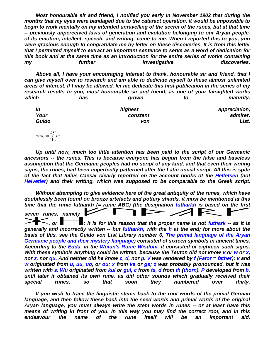*Most honourable sir and friend, I notified you early in November 1902 that during the months that my eyes were bandaged due to the cataract operation, it would be impossible to begin to work mentally on my intended unravelling of the secret of the runes, but at that time -- previously unperceived laws of generation and evolution belonging to our Aryan people, of its emotion, intellect, speech, and writing, came to me. When I reported this to you, you were gracious enough to congratulate me by letter on these discoveries. It is from this letter that I permitted myself to extract an important sentence to serve as a word of dedication for this book and at the same time as an introduction for the entire series of works containing my further investigative discoveries.*

*Above all, I have your encouraging interest to thank, honourable sir and friend, that I can give myself over to research and am able to dedicate myself to these almost unlimited areas of interest. If I may be allowed, let me dedicate this first publication in the series of my research results to you, most honourable sir and friend, as one of your farsighted works which has grown to maturity.*

| In                                                 | highest  | appreciation, |
|----------------------------------------------------|----------|---------------|
| Your                                               | constant | admirer,      |
| Guido                                              | von      | List.         |
| $\langle 29 \rangle$<br>Vienna, 0000 $\times$ 1907 |          |               |

*Up until now, much too little attention has been paid to the script of our Germanic ancestors -- the runes. This is because everyone has begun from the false and baseless assumption that the Germanic peoples had no script of any kind, and that even their writing signs, the runes, had been imperfectly patterned after the Latin uncial script. All this is spite of the fact that Iulius Caesar clearly reported on the account books of the Helfetsen (not Helvetier) and their writing, which was supposed to be comparable to the Greek script.*

*Without attempting to give evidence here of the great antiquity of the runes, which have doubtlessly been found on bronze artefacts and pottery shards, it must be mentioned at this time that the runic futharkh (= runic ABC) (the designation futharkh is based on the first*

*seven runes, namely*   $\leq$ , or  $\blacksquare$  ; it is for this reason that the proper name is not futhark -- as it is *generally and incorrectly written -- but futharkh, with the h at the end; for more about the basis of this, see the Guido von List Library number 6, The primal language of the Aryan Germanic people and their mystery language) consisted of sixteen symbols in ancient times. According to the Edda, in the Wotan's Runic Wisdom, it consisted of eighteen such signs. With these symbols anything could be written, because the Teuton did not know v or w or x, nor z, nor qu. And neither did he know c, d, nor p. V was rendered by f (Fator = father); v and w originated from u, uu, uo, or ou; x from ks or gs; z was probably pronounced, but it was written with s. Wu originated from kui or gui, c from ts, d from th (thorn). P developed from b, until later it obtained its own rune, as did other sounds which gradually received their special runes, so that soon they numbered over thirty.*

*If you wish to trace the linguistic stems back to the root words of the primal German language, and then follow these back into the seed words and primal words of the original Aryan language, you must always write the stem words in runes -- or at least have this means of writing in front of you. In this way you may find the correct root, and in this endeavour the name of the rune itself will be an important aid.*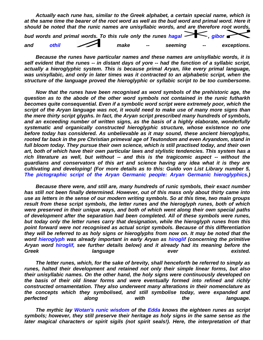|     |       | Actually each rune has, similar to the Greek alphabet, a certain special name, which is       |      |                                                                 |         |                                                     |             |
|-----|-------|-----------------------------------------------------------------------------------------------|------|-----------------------------------------------------------------|---------|-----------------------------------------------------|-------------|
|     |       | at the same time the bearer of the root word as well as the bud word and primal word. Here it |      |                                                                 |         |                                                     |             |
|     |       | should be noted that the runic names are unisyllabic words, and are therefore root words,     |      |                                                                 |         |                                                     |             |
|     |       | bud words and primal words. To this rule only the runes hagal $\geq$ , gibor                  |      |                                                                 |         |                                                     |             |
|     |       |                                                                                               |      |                                                                 |         |                                                     |             |
| and | othil | $\angle$                                                                                      | make | $\mathcal{L} = \mathcal{L} \mathcal{L} \mathcal{L} \mathcal{L}$ | seeming | $\mathcal{L} = \mathcal{L} \mathcal{L} \mathcal{L}$ | exceptions. |

*Because the runes have particular names and these names are unisyllabic words, it is self evident that the runes -- in distant days of yore -- had the function of a syllabic script, actually a hieroglyphic system. This is because primal Aryan, like every primal language, was unisyllabic, and only in later times was it contracted to an alphabetic script, when the structure of the language proved the hieroglyphic or syllabic script to be too cumbersome.*

*Now that the runes have been recognised as word symbols of the prehistoric age, the question as to the abode of the other word symbols not contained in the runic futharkh becomes quite consequential. Even if a symbolic word script were extremely poor, which the script of the Aryan language was not, it would need to make use of many more signs than the mere thirty script glyphs. In fact, the Aryan script prescribed many hundreds of symbols, and an exceeding number of written signs, as the basis of a highly elaborate, wonderfully systematic and organically constructed hieroglyphic structure, whose existence no one before today has considered. As unbelievable as it may sound, these ancient hieroglyphs, rooted far back in the pre Christian primeval age of Teutondom and even Aryandom, stand in full bloom today. They pursue their own science, which is still practised today, and their own art, both of which have their own particular laws and stylistic tendencies. This system has a rich literature as well, but without -- and this is the tragicomic aspect -- without the guardians and conservators of this art and science having any idea what it is they are cultivating and developing! (For more details as to this: Guido von List Library number 5, The pictographic script of the Aryan Germanic people: Aryan Germanic hieroglyphics.)*

*Because there were, and still are, many hundreds of runic symbols, their exact number has still not been finally determined. However, out of this mass only about thirty came into use as letters in the sense of our modern writing symbols. So at this time, two main groups result from these script symbols, the letter runes and the hieroglyph runes, both of which were preserved in their unique ways, and both of which went along their own special paths of development after the separation had been completed. All of these symbols were runes, but today only the letter runes carry that designation, while the hieroglyph runes from this point forward were not recognised as actual script symbols. Because of this differentiation they will be referred to as holy signs or hieroglyphs from now on. It may be noted that the word hieroglyph was already important in early Aryan as hiroglif (concerning the primitive Aryan word hiroglif, see further details below) and it already had its meaning before the Greek language ever existed.*

*The letter runes, which, for the sake of brevity, shall henceforth be referred to simply as runes, halted their development and retained not only their simple linear forms, but also their unisyllabic names. On the other hand, the holy signs were continuously developed on the basis of their old linear forms and were eventually formed into refined and richly constructed ornamentation. They also underwent many alterations in their nomenclature as the concepts which they symbolised, and still symbolise today, were expanded and perfected along with the language.*

*The mythic lay Wotan's runic wisdom of the Edda knows the eighteen runes as script symbols; however, they still preserve their heritage as holy signs in the same sense as the later magical characters or spirit sigils (not spirit seals!). Here, the interpretation of that*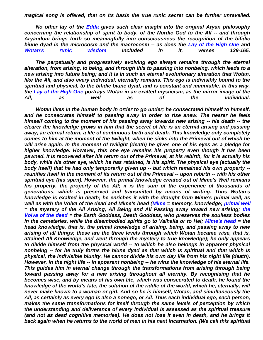*magical song is offered, that on its basis the true runic secret can be further unravelled.*

*No other lay of the Edda gives such clear insight into the original Aryan philosophy concerning the relationship of spirit to body, of the Nordic God to the All -- and through Aryandom brings forth so meaningfully into consciousness the recognition of the bifidic biune dyad in the microcosm and the macrocosm -- as does the Lay of the High One and Wotan's runic wisdom included in it, verses 139-165.*

*The perpetually and progressively evolving ego always remains through the eternal alteration, from arising, to being, and through this to passing into nonbeing, which leads to a new arising into future being; and it is in such an eternal evolutionary alteration that Wotan, like the All, and also every individual, eternally remains. This ego is indivisibly bound to the spiritual and physical, to the bifidic biune dyad, and is constant and immutable. In this way, the Lay of the High One portrays Wotan in an exalted mysticism, as the mirror image of the All, as well as of the individual.*

*Wotan lives in the human body in order to go under; he consecrated himself to himself, and he consecrates himself to passing away in order to rise anew. The nearer he feels himself coming to the moment of his passing away towards new arising -- his death -- the clearer the knowledge grows in him that the secret of life is an eternal arising and passing away, an eternal return, a life of continuous birth and death. This knowledge only completely comes to him at the moment of the twilight, when he sinks into the Primeval out of which he will arise again. In the moment of twilight (death) he gives one of his eyes as a pledge for higher knowledge. However, this one eye remains his property even though it has been pawned. It is recovered after his return out of the Primeval, at his rebirth, for it is actually his body, while his other eye, which he has retained, is his spirit. The physical eye (actually the body itself) that he had only temporarily given up -- but which remained his own property - reunifies itself in the moment of its return out of the Primeval -- upon rebirth -- with his other spiritual eye (his spirit). However, the primal knowledge created out of Mime's Well remains his property, the property of the All; it is the sum of the experience of thousands of generations, which is preserved and transmitted by means of writing. Thus Wotan's knowledge is exalted in death; he enriches it with the draught from Mime's primal well, as well as with the Volva of the dead and Mime's head (Mime = memory, knowledge; primal well = the mystery of the All Arising, All Being and All Passing away toward new arising; the Volva of the dead = the Earth Goddess, Death Goddess, who preserves the soulless bodies in the cemeteries, while the disembodied spirits go to Valhalla or to Hel; Mime's head = the head knowledge, that is, the primal knowledge of arising, being, and passing away to new arising of all things; these are the three levels through which Wotan became wise, that is, attained All Knowledge, and went through the mystery to true knowledge); he only appears to divide himself from the physical world -- to which he also belongs in apparent physical nonbeing -- for he truly forms the biune dyad as that which is spiritual and that which is physical, the indivisible biunity. He cannot divide his own day life from his night life (death). However, in the night life -- in apparent nonbeing -- he wins the knowledge of his eternal life. This guides him in eternal change through the transformations from arising through being toward passing away for a new arising throughout all eternity. By recognising that he becomes wise, and by means of his own life, which was consecrated to death, he found the knowledge of the world's fate, the solution of the riddle of the world, which he, eternally, will never make known to a woman or girl. And so he is himself, Wotan, and simultaneously the All, as certainly as every ego is also a nonego, or All. Thus each individual ego, each person, makes the same transformations for itself through the same levels of perception by which the understanding and deliverance of every individual is assessed as the spiritual treasure (and not as dead cognitive memories). He does not lose it even in death, and he brings it back again when he returns to the world of men in his next incarnation. (We call this spiritual*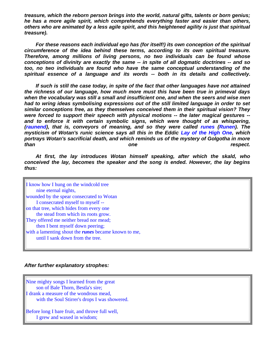*treasure, which the reborn person brings into the world, natural gifts, talents or born genius; he has a more agile spirit, which comprehends everything faster and easier than others, others who are animated by a less agile spirit, and this heightened agility is just that spiritual treasure).*

*For these reasons each individual ego has (for itself!) its own conception of the spiritual circumference of the idea behind these terms, according to its own spiritual treasure. Therefore, among millions of living persons, no two individuals can be found whose conceptions of divinity are exactly the same -- in spite of all dogmatic doctrines -- and so too, no two individuals are found who have the same conceptual understanding of the spiritual essence of a language and its words -- both in its details and collectively.*

*If such is still the case today, in spite of the fact that other languages have not attained the richness of our language, how much more must this have been true in primeval days when the vocabulary was still a small and insufficient one, and when the seers and wise men had to wring ideas symbolising expressions out of the still limited language in order to set similar conceptions free, as they themselves conceived them in their spiritual vision? They were forced to support their speech with physical motions -- the later magical gestures - and to enforce it with certain symbolic signs, which were thought of as whispering, (raunend), that is, conveyors of meaning, and so they were called runes (Runen). The mysticism of Wotan's runic science says all this in the Eddic Lay of the High One, which portrays Wotan's sacrificial death, and which reminds us of the mystery of Golgotha in more than one respect.*

*At first, the lay introduces Wotan himself speaking, after which the skald, who conceived the lay, becomes the speaker and the song is ended. However, the lay begins thus:*

| I know how I hung on the windcold tree                      |
|-------------------------------------------------------------|
| nine eternal nights,                                        |
| wounded by the spear consecrated to Wotan                   |
| I consecrated myself to myself --                           |
| on that tree, which hides from every one                    |
| the stead from which its roots grow.                        |
| They offered me neither bread nor mead;                     |
| then I bent myself down peering;                            |
| with a lamenting shout the <i>runes</i> became known to me, |
| until I sank down from the tree.                            |
|                                                             |

## *After further explanatory strophes:*

Nine mighty songs I learned from the great son of Bale Thorn, Bestla's sire; I drank a measure of the wondrous mead, with the Soul Stirrer's drops I was showered.

Before long I bare fruit, and throve full well, I grew and waxed in wisdom;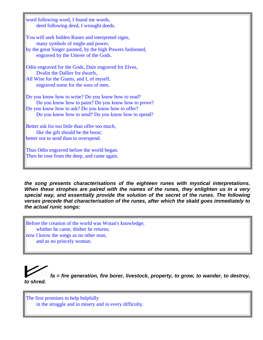word following word, I found me words, deed following deed, I wrought deeds.

You will seek hidden Runes and interpreted signs, many symbols of might and power, by the great Singer painted, by the high Powers fashioned, engraved by the Utterer of the Gods.

Odin engraved for the Gods, Daïn engraved for Elves, Dvalin the Dallier for dwarfs,

All Wise for the Giants, and I, of myself, engraved some for the sons of men.

Do you know how to write? Do you know how to read? Do you know how to paint? Do you know how to prove? Do you know how to ask? Do you know how to offer? Do you know how to send? Do you know how to spend?

Better ask for too little than offer too much, like the gift should be the boon; better not to send than to overspend.

Thus Odin engraved before the world began. Then he rose from the deep, and came again.

*the song presents characterisations of the eighteen runes with mystical interpretations. When these strophes are paired with the names of the runes, they enlighten us in a very special way, and essentially provide the solution of the secret of the runes. The following verses precede that characterisation of the runes, after which the skald goes immediately to the actual runic songs:*

Before the creation of the world was Wotan's knowledge; whither he came, thither he returns; now I know the songs as no other man, and as no princely woman.

 *fa = fire generation, fire borer, livestock, property, to grow, to wander, to destroy, to shred.*

The first promises to help helpfully in the struggle and in misery and in every difficulty.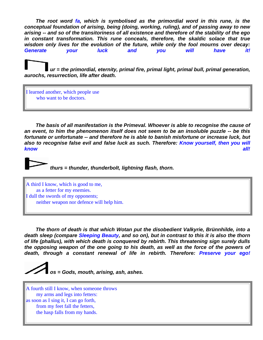*The root word fa, which is symbolised as the primordial word in this rune, is the conceptual foundation of arising, being (doing, working, ruling), and of passing away to new arising -- and so of the transitoriness of all existence and therefore of the stability of the ego in constant transformation. This rune conceals, therefore, the skaldic solace that true wisdom only lives for the evolution of the future, while only the fool mourns over decay: Generate your luck and you will have it!*

 *ur = the primordial, eternity, primal fire, primal light, primal bull, primal generation, aurochs, resurrection, life after death.*

I learned another, which people use who want to be doctors.

*The basis of all manifestation is the Primeval. Whoever is able to recognise the cause of an event, to him the phenomenon itself does not seem to be an insoluble puzzle -- be this fortunate or unfortunate -- and therefore he is able to banish misfortune or increase luck, but also to recognise false evil and false luck as such. Therefore: Know yourself, then you will know all!*

 *thurs = thunder, thunderbolt, lightning flash, thorn.*

A third I know, which is good to me, as a fetter for my enemies. I dull the swords of my opponents; neither weapon nor defence will help him.

*The thorn of death is that which Wotan put the disobedient Valkyrie, Brünnhilde, into a death sleep (compare Sleeping Beauty, and so on), but in contrast to this it is also the thorn of life (phallus), with which death is conquered by rebirth. This threatening sign surely dulls the opposing weapon of the one going to his death, as well as the force of the powers of death, through a constant renewal of life in rebirth. Therefore: Preserve your ego!*

 *os = Gods, mouth, arising, ash, ashes.*

A fourth still I know, when someone throws my arms and legs into fetters: as soon as I sing it, I can go forth, from my feet fall the fetters, the hasp falls from my hands.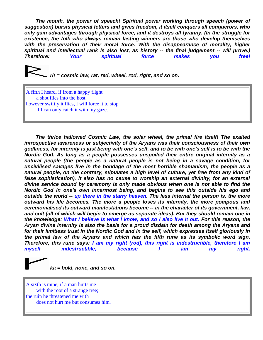*The mouth, the power of speech! Spiritual power working through speech (power of suggestion) bursts physical fetters and gives freedom, it itself conquers all conquerors, who only gain advantages through physical force, and it destroys all tyranny. (In the struggle for existence, the folk who always remain lasting winners are those who develop themselves with the preservation of their moral force. With the disappearance of morality, higher spiritual and intellectual rank is also lost, as history -- the final judgement -- will prove.) Therefore: Your spiritual force makes you free!*



A fifth I heard, if from a happy flight a shot flies into the host; however swiftly it flies, I will force it to stop if I can only catch it with my gaze.

*The thrice hallowed Cosmic Law, the solar wheel, the primal fire itself! The exalted introspective awareness or subjectivity of the Aryans was their consciousness of their own godliness, for internity is just being with one's self, and to be with one's self is to be with the Nordic God. As long as a people possesses unspoiled their entire original internity as a natural people (the people as a natural people is not being in a savage condition, for uncivilised savages live in the bondage of the most horrible shamanism; the people as a natural people, on the contrary, stipulates a high level of culture, yet free from any kind of false sophistication), it also has no cause to worship an external divinity, for an external divine service bound by ceremony is only made obvious when one is not able to find the Nordic God in one's own innermost being, and begins to see this outside his ego and outside the world -- up there in the starry heaven. The less internal the person is, the more outward his life becomes. The more a people loses its internity, the more pompous and ceremonialised its outward manifestations become -- in the character of its government, law, and cult (all of which will begin to emerge as separate ideas). But they should remain one in the knowledge: What I believe is what I know, and so I also live it out. For this reason, the Aryan divine internity is also the basis for a proud disdain for death among the Aryans and for their limitless trust in the Nordic God and in the self, which expresses itself gloriously in the primal law of the Aryans and which has the fifth rune as its symbolic word sign. Therefore, this rune says: I am my right (rod), this right is indestructible, therefore I am myself indestructible, because I am my right.*



 *ka = bold, none, and so on.*

A sixth is mine, if a man hurts me with the root of a strange tree; the ruin he threatened me with does not hurt me but consumes him.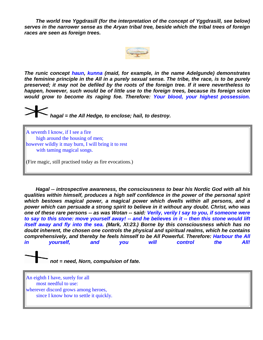*The world tree Yggdrasill (for the interpretation of the concept of Yggdrasill, see below) serves in the narrower sense as the Aryan tribal tree, beside which the tribal trees of foreign races are seen as foreign trees.*



*The runic concept haun, kunna (maid, for example, in the name Adelgunde) demonstrates the feminine principle in the All in a purely sexual sense. The tribe, the race, is to be purely preserved; it may not be defiled by the roots of the foreign tree. If it were nevertheless to happen, however, such would be of little use to the foreign trees, because its foreign scion would grow to become its raging foe. Therefore: Your blood, your highest possession.*



A seventh I know, if I see a fire high around the housing of men; however wildly it may burn, I will bring it to rest with taming magical songs.

(Fire magic, still practised today as fire evocations.)

*Hagal -- introspective awareness, the consciousness to bear his Nordic God with all his qualities within himself, produces a high self confidence in the power of the personal spirit which bestows magical power, a magical power which dwells within all persons, and a power which can persuade a strong spirit to believe in it without any doubt. Christ, who was one of these rare persons -- as was Wotan -- said: Verily, verily I say to you, if someone were to say to this stone: move yourself away! -- and he believes in it -- then this stone would lift itself away and fly into the sea. (Mark, XI:23.) Borne by this consciousness which has no doubt inherent, the chosen one controls the physical and spiritual realms, which he contains comprehensively, and thereby he feels himself to be All Powerful. Therefore: Harbour the All in yourself, and you will control the All!*

 *not = need, Norn, compulsion of fate.*

An eighth I have, surely for all most needful to use: wherever discord grows among heroes, since I know how to settle it quickly.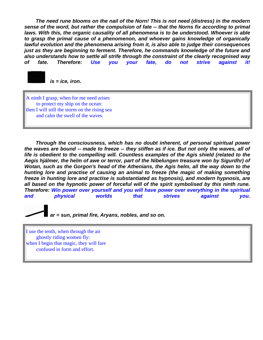*The need rune blooms on the nail of the Norn! This is not need (distress) in the modern sense of the word, but rather the compulsion of fate -- that the Norns fix according to primal laws. With this, the organic causality of all phenomena is to be understood. Whoever is able to grasp the primal cause of a phenomenon, and whoever gains knowledge of organically lawful evolution and the phenomena arising from it, is also able to judge their consequences just as they are beginning to ferment. Therefore, he commands knowledge of the future and also understands how to settle all strife through the constraint of the clearly recognised way of fate. Therefore: Use you your fate, do not strive against it!*



 *is = ice, iron.*

A ninth I grasp, when for me need arises to protect my ship on the ocean: then I will still the storm on the rising sea and calm the swell of the waves.

*Through the consciousness, which has no doubt inherent, of personal spiritual power the waves are bound -- made to freeze -- they stiffen as if ice. But not only the waves, all of life is obedient to the compelling will. Countless examples of the Agis shield (related to the Aegis hjálmer, the helm of awe or terror, part of the Nibelungen treasure won by Sigurdhr) of Wotan, such as the Gorgon's head of the Athenians, the Agis helm, all the way down to the hunting lore and practise of causing an animal to freeze (the magic of making something freeze in hunting lore and practise is substantiated as hypnosis), and modern hypnosis, are all based on the hypnotic power of forceful will of the spirit symbolised by this ninth rune. Therefore: Win power over yourself and you will have power over everything in the spiritual and physical worlds that strives against you.*

 *ar = sun, primal fire, Aryans, nobles, and so on.*

I use the tenth, when through the air ghostly riding women fly: when I begin that magic, they will fare confused in form and effort.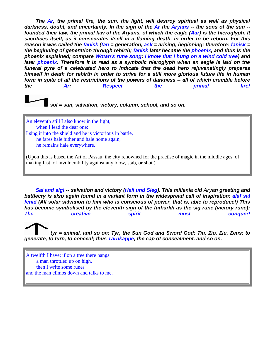*The Ar, the primal fire, the sun, the light, will destroy spiritual as well as physical darkness, doubt, and uncertainty. In the sign of the Ar the Aryans -- the sons of the sun - founded their law, the primal law of the Aryans, of which the eagle (Aar) is the hieroglyph. It sacrifices itself, as it consecrates itself in a flaming death, in order to be reborn. For this reason it was called the fanisk (fan = generation, ask = arising, beginning; therefore: fanisk = the beginning of generation through rebirth; fanisk later became the phoenix, and thus is the phoenix explained; compare Wotan's rune song: I know that I hung on a wind cold tree) and later phoenix. Therefore it is read as a symbolic hieroglyph when an eagle is laid on the funeral pyre of a celebrated hero to indicate that the dead hero rejuvenatingly prepares himself in death for rebirth in order to strive for a still more glorious future life in human form in spite of all the restrictions of the powers of darkness -- all of which crumble before the Ar: Respect the primal fire!*

 *sol = sun, salvation, victory, column, school, and so on.*

An eleventh still I also know in the fight, when I lead the dear one: I sing it into the shield and he is victorious in battle, he fares hale hither and hale home again, he remains hale everywhere.

(Upon this is based the Art of Passau, the city renowned for the practise of magic in the middle ages, of making fast, of invulnerability against any blow, stab, or shot.)

*Sal and sig! -- salvation and victory (Heil und Sieg). This millenia old Aryan greeting and battlecry is also again found in a variant form in the widespread call of inspiration: alaf sal fena! (All solar salvation to him who is conscious of power, that is, able to reproduce!) This has become symbolised by the eleventh sign of the futharkh as the sig rune (victory rune): The creative spirit must conquer!*

 *tyr = animal, and so on; Týr, the Sun God and Sword God; Tiu, Zio, Ziu, Zeus; to generate, to turn, to conceal; thus Tarnkappe, the cap of concealment, and so on.*

A twelfth I have: if on a tree there hangs a man throttled up on high, then I write some runes and the man climbs down and talks to me.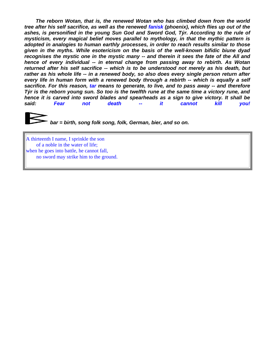*The reborn Wotan, that is, the renewed Wotan who has climbed down from the world tree after his self sacrifice, as well as the renewed fanisk (phoenix), which flies up out of the ashes, is personified in the young Sun God and Sword God, Týr. According to the rule of mysticism, every magical belief moves parallel to mythology, in that the mythic pattern is adopted in analogies to human earthly processes, in order to reach results similar to those given in the myths. While esotericism on the basis of the well-known bifidic biune dyad recognises the mystic one in the mystic many -- and therein it sees the fate of the All and hence of every individual -- in eternal change from passing away to rebirth. As Wotan returned after his self sacrifice -- which is to be understood not merely as his death, but rather as his whole life -- in a renewed body, so also does every single person return after every life in human form with a renewed body through a rebirth -- which is equally a self sacrifice. For this reason, tar means to generate, to live, and to pass away -- and therefore Týr is the reborn young sun. So too is the twelfth rune at the same time a victory rune, and hence it is carved into sword blades and spearheads as a sign to give victory. It shall be said: Fear not death -- it cannot kill you!*



 *bar = birth, song folk song, folk, German, bier, and so on.*

A thirteenth I name, I sprinkle the son of a noble in the water of life; when he goes into battle, he cannot fall, no sword may strike him to the ground.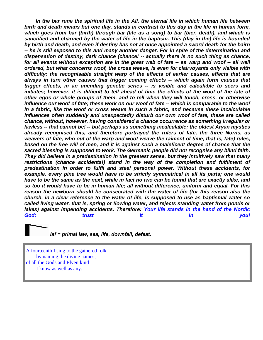*In the bar rune the spiritual life in the All, the eternal life in which human life between birth and death means but one day, stands in contrast to this day in the life in human form, which goes from bar (birth) through bar (life as a song) to bar (bier, death), and which is sanctified and charmed by the water of life in the baptism. This (day in the) life is bounded by birth and death, and even if destiny has not at once appointed a sword death for the bairn -- he is still exposed to this and many another danger. For in spite of the determination and dispensation of destiny, dark chance (chance! -- actually there is no such thing as chance, for all events without exception are in the great web of fate -- as warp and woof -- all well ordered, but what concerns woof, the cross weave, is even for clairvoyants only visible with difficulty; the recognisable straight warp of the effects of earlier causes, effects that are always in turn other causes that trigger coming effects -- which again form causes that trigger effects, in an unending genetic series -- is visible and calculable to seers and initiates; however, it is difficult to tell ahead of time the effects of the woof of the fate of other egos or whole groups of them, and to tell when they will touch, cross, or otherwise influence our woof of fate; these work on our woof of fate -- which is comparable to the woof in a fabric, like the woof or cross weave in such a fabric, and because these incalculable influences often suddenly and unexpectedly disturb our own woof of fate, these are called chance, without, however, having considered a chance occurrence as something irregular or lawless -- that cannot be! -- but perhaps as something incalculable; the oldest Aryan mystics already recognised this, and therefore portrayed the rulers of fate, the three Norns, as weavers of fate, who out of the warp and woof weave the raiment of time, that is, fate) rules, based on the free will of men, and it is against such a maleficent degree of chance that the sacred blessing is supposed to work. The Germanic people did not recognise any blind faith. They did believe in a predestination in the greatest sense, but they intuitively saw that many restrictions (chance accidents!) stand in the way of the completion and fulfilment of predestination in order to fulfil and steel personal power. Without these accidents, for example, every pine tree would have to be strictly symmetrical in all its parts; one would have to be the same as the next, while in fact no two can be found that are exactly alike, and so too it would have to be in human life; all without difference, uniform and equal. For this reason the newborn should be consecrated with the water of life (for this reason also the church, in a clear reference to the water of life, is supposed to use as baptismal water so called living water, that is, spring or flowing water, and rejects standing water from ponds or lakes) against impending accidents. Therefore: Your life stands in the hand of the Nordic God; trust it in you!*

 *laf = primal law, sea, life, downfall, defeat.*

A fourteenth I sing to the gathered folk by naming the divine names; of all the Gods and Elven kind I know as well as any.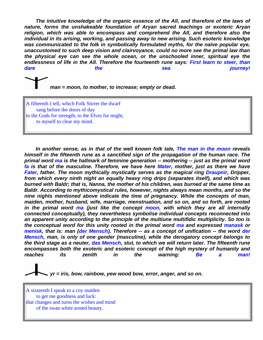*The intuitive knowledge of the organic essence of the All, and therefore of the laws of nature, forms the unshakeable foundation of Aryan sacred teachings or exoteric Aryan religion, which was able to encompass and comprehend the All, and therefore also the individual in its arising, working, and passing away to new arising. Such esoteric knowledge was communicated to the folk in symbolically formulated myths, for the naïve popular eye, unaccustomed to such deep vision and clairvoyance, could no more see the primal law than the physical eye can see the whole ocean, or the unschooled inner, spiritual eye the endlessness of life in the All. Therefore the fourteenth rune says: First learn to steer, than dare the sea journey!*

 *man = moon, to mother, to increase; empty or dead.*

A fifteenth I tell, which Folk Stirrer the dwarf sang before the doors of day to the Gods for strength, to the Elves for might, to myself to clear my mind.

*In another sense, as in that of the well known folk tale, The man in the moon reveals himself in the fifteenth rune as a sanctified sign of the propagation of the human race. The primal word ma is the hallmark of feminine generation -- mothering -- just as the primal word fa is that of the masculine. Therefore, we have here Mater, mother, just as there we have Fater, father. The moon mythically mystically serves as the magical ring Draupnir, Dripper, from which every ninth night an equally heavy ring drips (separates itself), and which was burned with Baldr; that is, Nanna, the mother of his children, was burned at the same time as Baldr. According to mythicomystical rules, however, nights always mean months, and so the nine nights mentioned above indicate the time of pregnancy. While the concepts of man, maiden, mother, husband, wife, marriage, menstruation, and so on, and so forth, are rooted in the primal word ma (just like the concept moon, with which they are all internally connected conceptually), they nevertheless symbolise individual concepts reconnected into an apparent unity according to the principle of the multiune multifidic multiplicity. So too is the conceptual word for this unity rooted in the primal word ma and expressed manask or menisk, that is: man (der Mensch). Therefore -- as a concept of unification -- the word der Mensch, man, is only of one gender (masculine), while the derogatory concept belongs to the third stage as a neuter, das Mensch, slut, to which we will return later. The fifteenth rune encompasses both the exoteric and esoteric concept of the high mystery of humanity and reaches its zenith in the warning: Be a man!*

 *yr = iris, bow, rainbow, yew wood bow, error, anger, and so on.*

A sixteenth I speak to a coy maiden to get me goodness and luck: that changes and turns the wishes and mind of the swan white armed beauty.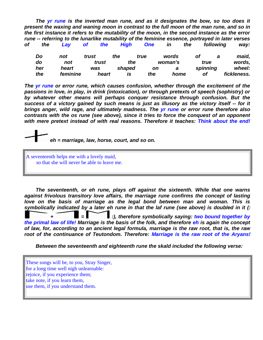*The yr rune is the inverted man rune, and as it designates the bow, so too does it present the waxing and waning moon in contrast to the full moon of the man rune, and so in the first instance it refers to the mutability of the moon, in the second instance as the error rune -- referring to the lunarlike mutability of the feminine essence, portrayed in later verses of the Lay of the High One in the following way:*

| Do  | not      | trust | the    | true | words   | 01       | a | maid,       |
|-----|----------|-------|--------|------|---------|----------|---|-------------|
| do  | not      | trust | the    |      | woman's | true     |   | words,      |
| her | heart    | was   | shaped |      | on      | spinning |   | wheel:      |
| the | feminine | heart | IS     | the  | home    | οf       |   | fickleness. |

*The yr rune or error rune, which causes confusion, whether through the excitement of the passions in love, in play, in drink (intoxication), or through pretexts of speech (sophistry) or by whatever other means will perhaps conquer resistance through confusion. But the success of a victory gained by such means is just as illusory as the victory itself -- for it brings anger, wild rage, and ultimately madness. The yr rune or error rune therefore also contrasts with the os rune (see above), since it tries to force the conquest of an opponent with mere pretext instead of with real reasons. Therefore it teaches: Think about the end!*

 *eh = marriage, law, horse, court, and so on.*

A seventeenth helps me with a lovely maid, so that she will never be able to leave me.

*The seventeenth, or eh rune, plays off against the sixteenth. While that one warns against frivolous transitory love affairs, the marriage rune confirms the concept of lasting love on the basis of marriage as the legal bond between man and woman. This is symbolically indicated by a later eh rune in that the laf rune (see above) is doubled in it (:* **1**:), therefore symbolically saying: two bound together by

*the primal law of life! Marriage is the basis of the folk, and therefore eh is again the concept of law, for, according to an ancient legal formula, marriage is the raw root, that is, the raw root of the continuance of Teutondom. Therefore: Marriage is the raw root of the Aryans!*

*Between the seventeenth and eighteenth rune the skald included the following verse:*

These songs will be, to you, Stray Singer, for a long time well nigh unlearnable: rejoice, if you experience them; take note, if you learn them, use them, if you understand them.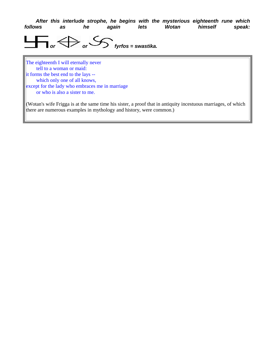*After this interlude strophe, he begins with the mysterious eighteenth rune which*<br>follows as he again lets Wotan himself speak: *follows as he again lets Wotan himself speak:*

 $\underline{\qquad \qquad }$  or  $\Leftrightarrow$  or  $\Leftrightarrow$  fyrfos = swastika.

The eighteenth I will eternally never tell to a woman or maid: it forms the best end to the lays - which only one of all knows, except for the lady who embraces me in marriage or who is also a sister to me.

(Wotan's wife Frigga is at the same time his sister, a proof that in antiquity incestuous marriages, of which there are numerous examples in mythology and history, were common.)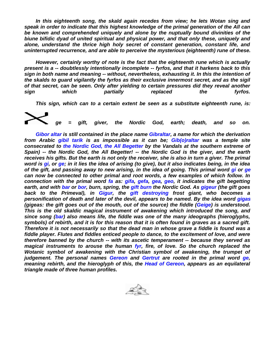*In this eighteenth song, the skald again recedes from view; he lets Wotan sing and speak in order to indicate that this highest knowledge of the primal generation of the All can be known and comprehended uniquely and alone by the nuptually bound divinities of the biune bifidic dyad of united spiritual and physical power, and that only these, uniquely and alone, understand the thrice high holy secret of constant generation, constant life, and uninterrupted recurrence, and are able to perceive the mysterious (eighteenth) rune of these.*

*However, certainly worthy of note is the fact that the eighteenth rune which is actually present is a -- doubtlessly intentionally incomplete -- fyrfos, and that it harkens back to this sign in both name and meaning -- without, nevertheless, exhausting it. In this the intention of the skalds to guard vigilantly the fyrfos as their exclusive innermost secret, and as the sigil of that secret, can be seen. Only after yielding to certain pressures did they reveal another sign which partially replaced the fyrfos.*

*This sign, which can to a certain extent be seen as a substitute eighteenth rune, is:*

 *ge = gift, giver, the Nordic God, earth; death, and so on.*

*Gibor altar is still contained in the place name Gibraltar, a name for which the derivation from Arabic gibil tarik is as impossible as it can be; Gib(o)raltar was a temple site consecrated to the Nordic God, the All Begetter by the Vandals at the southern extreme of Spain) -- the Nordic God, the All Begetter! -- the Nordic God is the giver, and the earth receives his gifts. But the earth is not only the receiver, she is also in turn a giver. The primal word is gi, or ge; in it lies the idea of arising (to give), but it also indicates being, in the idea of the gift, and passing away to new arising, in the idea of going. This primal word gi or ge can now be connected to other primal and root words, a few examples of which follow. In connection with the primal word fa as: gifa, gefa, gea, geo, it indicates the gift begetting earth, and with bar or bor, burn, spring, the gift burn the Nordic God. As gigeur (the gift goes back to the Primeval), in Gigur, the gift destroying frost giant, who becomes a personification of death and later of the devil, appears to be named. By the idea word gigas (gigeas: the gift goes out of the mouth, out of the source) the fiddle (Geige) is understood. This is the old skaldic magical instrument of awakening which introduced the song, and since song (bar) also means life, the fiddle was one of the many ideographs (hieroglyphs, symbols) of rebirth, and it is for this reason that it is often found in graves as a sacred gift. Therefore it is not necessarily so that the dead man in whose grave a fiddle is found was a fiddle player. Flutes and fiddles enticed people to dance, to the excitement of love, and were therefore banned by the church -- with its ascetic temperament -- because they served as magical instruments to arouse the human fyr, fire, of love. So the church replaced the Wotanic symbol of awakening with the Christian symbol of awakening, the trumpet of judgement. The personal names Gereon and Gertrut are rooted in the primal word ge, meaning rebirth, and the hieroglyph of this, the Head of Gereon, appears as an equilateral triangle made of three human profiles.*

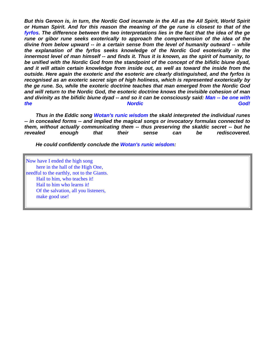*But this Gereon is, in turn, the Nordic God incarnate in the All as the All Spirit, World Spirit or Human Spirit. And for this reason the meaning of the ge rune is closest to that of the fyrfos. The difference between the two interpretations lies in the fact that the idea of the ge rune or gibor rune seeks exoterically to approach the comprehension of the idea of the divine from below upward -- in a certain sense from the level of humanity outward -- while the explanation of the fyrfos seeks knowledge of the Nordic God esoterically in the innermost level of man himself -- and finds it. Thus it is known, as the spirit of humanity, to be unified with the Nordic God from the standpoint of the concept of the bifidic biune dyad, and it will attain certain knowledge from inside out, as well as toward the inside from the outside. Here again the exoteric and the esoteric are clearly distinguished, and the fyrfos is recognised as an exoteric secret sign of high holiness, which is represented exoterically by the ge rune. So, while the exoteric doctrine teaches that man emerged from the Nordic God and will return to the Nordic God, the esoteric doctrine knows the invisible cohesion of man and divinity as the bifidic biune dyad -- and so it can be consciously said: Man -- be one with the Nordic God!*

*Thus in the Eddic song Wotan's runic wisdom the skald interpreted the individual runes -- in concealed forms -- and implied the magical songs or invocatory formulas connected to them, without actually communicating them -- thus preserving the skaldic secret -- but he revealed enough that their sense can be rediscovered.*

*He could confidently conclude the Wotan's runic wisdom:*

Now have I ended the high song here in the hall of the High One, needful to the earthly, not to the Giants. Hail to him, who teaches it! Hail to him who learns it! Of the salvation, all you listeners, make good use!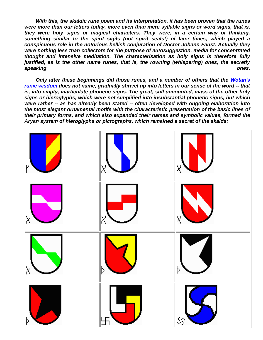*With this, the skaldic rune poem and its interpretation, it has been proven that the runes were more than our letters today, more even than mere syllable signs or word signs, that is, they were holy signs or magical characters. They were, in a certain way of thinking, something similar to the spirit sigils (not spirit seals!) of later times, which played a conspicuous role in the notorious hellish conjuration of Doctor Johann Faust. Actually they were nothing less than collectors for the purpose of autosuggestion, media for concentrated thought and intensive meditation. The characterisation as holy signs is therefore fully justified, as is the other name runes, that is, the rowning (whispering) ones, the secretly speaking ones.*

*Only after these beginnings did those runes, and a number of others that the Wotan's runic wisdom does not name, gradually shrivel up into letters in our sense of the word -- that is, into empty, inarticulate phonetic signs. The great, still uncounted, mass of the other holy signs or hieroglyphs, which were not simplified into insubstantial phonetic signs, but which were rather -- as has already been stated -- often developed with ongoing elaboration into the most elegant ornamental motifs with the characteristic preservation of the basic lines of their primary forms, and which also expanded their names and symbolic values, formed the Aryan system of hieroglyphs or pictographs, which remained a secret of the skalds:*

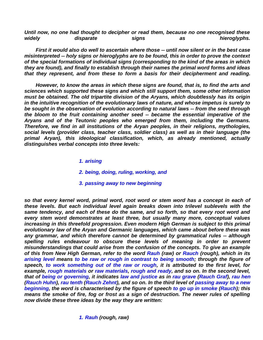*Until now, no one had thought to decipher or read them, because no one recognised these widely disparate signs as hieroglyphs.*

*First it would also do well to ascertain where those -- until now silent or in the best case misinterpreted -- holy signs or hieroglyphs are to be found, this in order to prove the context of the special formations of individual signs (corresponding to the kind of the areas in which they are found), and finally to establish through their names the primal word forms and ideas that they represent, and from these to form a basis for their decipherment and reading.*

*However, to know the areas in which these signs are found, that is, to find the arts and sciences which supported these signs and which still support them, some other information must be obtained. The old tripartite division of the Aryans, which doubtlessly has its origin in the intuitive recognition of the evolutionary laws of nature, and whose impetus is surely to be sought in the observation of evolution according to natural laws -- from the seed through the bloom to the fruit containing another seed -- became the essential imperative of the Aryans and of the Teutonic peoples who emerged from them, including the Germans. Therefore, we find in all institutions of the Aryan peoples, in their religions, mythologies, social levels (provider class, teacher class, soldier class) as well as in their language (the primal Aryan), this ideological classification, which, as already mentioned, actually distinguishes verbal concepts into three levels:*

## *1. arising*

- *2. being, doing, ruling, working, and*
- *3. passing away to new beginning*

*so that every kernel word, primal word, root word or stem word has a concept in each of these levels. But each individual level again breaks down into trilevel sublevels with the same tendency, and each of these do the same, and so forth, so that every root word and every stem word demonstrates at least three, but usually many more, conceptual values increasing in this threefold progression. Even modern High German is subject to this primal evolutionary law of the Aryan and Germanic languages, which came about before these was any grammar, and which therefore cannot be determined by grammatical rules -- although spelling rules endeavour to obscure these levels of meaning in order to prevent misunderstandings that could arise from the confusion of the concepts. To give an example of this from New High German, refer to the word Rauh (raw) or Rauch (rough), which in its arising level means to be raw or rough in contrast to being smooth; through the figure of speech, to work something out of the raw or rough, it is attributed to the first level, for example, rough materials or raw materials, rough and ready, and so on. In the second level, that of being or governing, it indicates law and justice as in rau grave (Rauch Graf), rau hen (Rauch Huhn), rau tenth (Rauch Zehnt), and so on. In the third level of passing away to a new beginning, the word is characterised by the figure of speech to go up in smoke (Rauch); this means the smoke of fire, fog or frost as a sign of destruction. The newer rules of spelling now divide these three ideas by the way they are written:*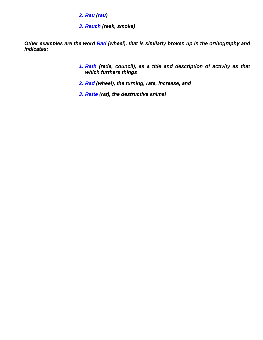- *2. Rau (rau)*
- *3. Rauch (reek, smoke)*

*Other examples are the word Rad (wheel), that is similarly broken up in the orthography and indicates:*

- *1. Rath (rede, council), as a title and description of activity as that which furthers things*
- *2. Rad (wheel), the turning, rate, increase, and*
- *3. Ratte (rat), the destructive animal*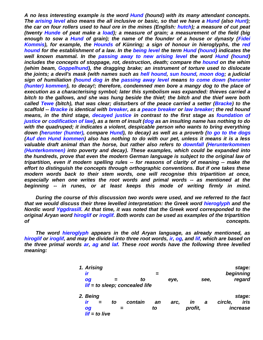*A no less interesting example is the word Hund (hound) with its many attendant concepts. The arising level also means the all inclusive or basic, so that we have a Hund (also Hunt); the car on four rollers used to haul ore in the mines (English: hutch); a measure of cut peat (twenty Hunde of peat make a load); a measure of grain; a measurement of the field (big enough to sow a Hund of grain); the name of the founder of a house or dynasty (Fidei Kommis), for example, the Hounds of Künring; a sign of honour in hieroglyphs, the red hound for the establishment of a law. In the being level the term Hund (hound) indicates the well known mammal. In the passing away to new arising level the word Hund (hound) includes the concepts of stoppage, rot, destruction, death; compare the hound on the whim (whim beam, Goppelhund), the dragging brake; an instrument of torture used to dislocate the joints; a devil's mask (with names such as hell hound, sun hound, moon dog; a judicial sign of humiliation (hound dog in the passing away level means to come down (herunter (hunter) kommen), to decay!; therefore, condemned men bore a mangy dog to the place of execution as a characterising symbol; later this symbolism was expanded: thieves carried a bitch to the gallows, and she was hung beside the thief; the bitch and the thief were both called Tewe (bitch), that was clear; disturbers of the peace carried a setter (Bracke) to the scaffold -- Bracke is identical with breaker, as a peace breaker or law breaker; the red hound means, in the third stage, decayed justice in contrast to the first stage as foundation of justice or codification of law), as a term of insult (dog as an insulting name has nothing to do with the quadruped; it indicates a violent, despicable person who wants to bring everything down (herunter (hunter), compare Hund), to decay) as well as a proverb (to go to the dogs (Auf den Hund kommen) also has nothing to do with our pet, unless it means it is a less valuable draft animal than the horse, but rather also refers to downfall (Herunterkommen (Hunterkommen) into poverty and decay). These examples, which could be expanded into the hundreds, prove that even the modern German language is subject to the original law of tripartition, even if modern spelling rules -- for reasons of clarity of meaning -- make the effort to distinguish the concepts through orthographic conventions. But if one takes these modern words back to their stem words, one will recognise this tripartition at once, especially when one writes the root words and primal words -- as mentioned at the beginning -- in runes, or at least keeps this mode of writing firmly in mind.*

*During the course of this discussion two words were used, and we referred to the fact that we would discuss their three levelled interpretation: the Greek word hieroglyph and the Nordic word Yggdrasill. At that time, it was noted that the Greek word corresponded to the original Aryan word hiroglif or iroglif. Both words can be used as examples of the tripartition of concepts.*

*The word hieroglyph appears in the old Aryan language, as already mentioned, as hiroglif or iroglif, and may be divided into three root words, ir, og, and lif, which are based on the three primal words ar, ag and laf. These root words have the following three levelled meaning:*

| 1. Arising<br><i>ir</i> |    |                                   |    |      |         |      |         | stage:<br>beginning |
|-------------------------|----|-----------------------------------|----|------|---------|------|---------|---------------------|
| og                      |    | tο                                |    | eye, |         | see. |         | regard              |
|                         |    | $l$ if = to sleep; concealed life |    |      |         |      |         |                     |
| 2. Being                |    |                                   |    |      |         |      |         | stage:              |
| ir<br>$\equiv$          | to | contain                           | an | arc, | in      | a    | circle, | iris                |
| og                      |    |                                   | to |      | profit, |      |         | <i>increase</i>     |
| $l$ if = to live        |    |                                   |    |      |         |      |         |                     |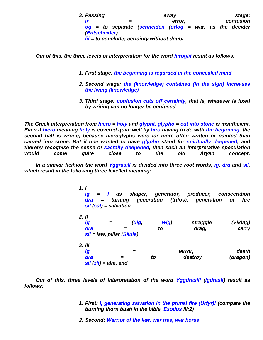*3. Passing away stage: ir = error, confusion og = to separate (schneiden (orlog = war: as the decider (Entscheider) lif = to conclude; certainty without doubt*

*Out of this, the three levels of interpretation for the word hiroglif result as follows:*

- *1. First stage: the beginning is regarded in the concealed mind*
- *2. Second stage: the (knowledge) contained (in the sign) increases the living (knowledge)*
- *3. Third stage: confusion cuts off certainty, that is, whatever is fixed by writing can no longer be confused*

*The Greek interpretation from hiero = holy and glypht, glypho = cut into stone is insufficient. Even if hiero meaning holy is covered quite well by hiro having to do with the beginning, the second half is wrong, because hieroglyphs were far more often written or painted than carved into stone. But if one wanted to have glypho stand for spiritually deepened, and thereby recognise the sense of sacrally deepened, then such an interpretative speculation would come quite close to the old Aryan concept.*

*In a similar fashion the word Yggrasill is divided into three root words, ig, dra and sil, which result in the following three levelled meaning:*

> *1. I ig = I as shaper, generator, producer, consecration dra = turning generation (trifos), generation of fire sil (sal) = salvation*

> *2. II ig = (uig, wig) struggle (Viking) dra = to drag, carry sil = law, pillar (Säule) 3. III ig = terror, death dra = to destroy (dragon) sil (zil) = aim, end*

*Out of this, three levels of interpretation of the word Yggdrasill (Igdrasil) result as follows:*

- *1. First: I, generating salvation in the primal fire (Urfyr)! (compare the burning thorn bush in the bible, Exodus III:2)*
- *2. Second: Warrior of the law, war tree, war horse*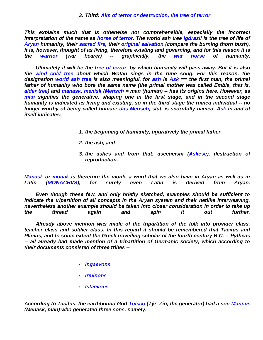## *3. Third: Aim of terror or destruction, the tree of terror*

*This explains much that is otherwise not comprehensible, especially the incorrect interpretation of the name as horse of terror. The world ash tree Igdrasil is the tree of life of Aryan humanity, their sacred fire, their original salvation (compare the burning thorn bush). It is, however, thought of as living, therefore existing and governing, and for this reason it is the warrior (war bearer) -- graphically, the war horse of humanity.*

*Ultimately it will be the tree of terror, by which humanity will pass away. But it is also the wind cold tree about which Wotan sings in the rune song. For this reason, the designation world ash tree is also meaningful, for ash is Ask == the first man, the primal father of humanity who bore the same name (the primal mother was called Embla, that is, alder tree) and manask, menisk (Mensch = man (human) -- has its origins here. However, as man signifies the generative, shaping one in the first stage, and in the second stage humanity is indicated as living and existing, so in the third stage the ruined individual -- no longer worthy of being called human: das Mensch, slut, is scornfully named. Ask in and of itself indicates:*

- *1. the beginning of humanity, figuratively the primal father*
- *2. the ash, and*
- *3. the ashes and from that: asceticism (Askese), destruction of reproduction.*

*Manask or monak is therefore the monk, a word that we also have in Aryan as well as in Latin (MONACHVS), for surely even Latin is derived from Aryan.*

*Even though these few, and only briefly sketched, examples should be sufficient to indicate the tripartition of all concepts in the Aryan system and their netlike interweaving, nevertheless another example should be taken into closer consideration in order to take up the thread again and spin it out further.*

*Already above mention was made of the tripartition of the folk into provider class, teacher class and soldier class. In this regard it should be remembered that Tacitus and Plinius, and to some extent the Greek travelling scholar of the fourth century B.C. -- Pytheas -- all already had made mention of a tripartition of Germanic society, which according to their documents consisted of three tribes --*

- *Ingaevons*
- *Irminons*
- *Istaevons*

*According to Tacitus, the earthbound God Tuisco (Týr, Zio, the generator) had a son Mannus (Menask, man) who generated three sons, namely:*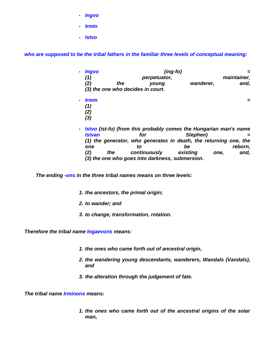- *Ingvo*
- *Irmin*
- *Istvo*

*(2) (3)* 

*who are supposed to be the tribal fathers in the familiar three levels of conceptual meaning:*

| $\bullet$ | <i><b>Ingvo</b></i>               |     |              |           |             |
|-----------|-----------------------------------|-----|--------------|-----------|-------------|
|           | (1)                               |     | perpetuator, |           | maintainer, |
|           | (2)                               | the | young        | wanderer, | and,        |
|           | (3) the one who decides in court. |     |              |           |             |
|           | Irmin                             |     |              |           |             |
|           |                                   |     |              |           |             |

• *Istvo (ist-fo) (from this probably comes the Hungarian man's name Istvan for Stephen) = (1) the generator, who generates in death, the returning one, the one to be reborn, (2) the continuously existing one, and, (3) the one who goes into darkness, submersion.*

*The ending -ons in the three tribal names means on three levels:* 

- *1. the ancestors, the primal origin;*
- *2. to wander; and*
- *3. to change, transformation, rotation.*

*Therefore the tribal name Ingaevons means:*

- *1. the ones who came forth out of ancestral origin,*
- *2. the wandering young descendants, wanderers, Wandals (Vandals), and*
- *3. the alteration through the judgement of fate.*

*The tribal name Irminons means:*

*1. the ones who came forth out of the ancestral origins of the solar man,*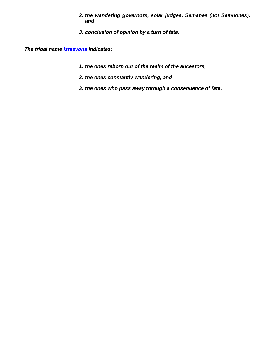- *2. the wandering governors, solar judges, Semanes (not Semnones), and*
- *3. conclusion of opinion by a turn of fate.*

*The tribal name Istaevons indicates:*

- *1. the ones reborn out of the realm of the ancestors,*
- *2. the ones constantly wandering, and*
- *3. the ones who pass away through a consequence of fate.*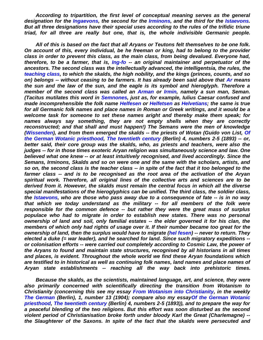*According to tripartition, the first level of conceptual meaning serves as the general designation for the Ingaevons, the second for the Irminons, and the third for the Istaevons. But all three designations have their special uses according to the rules of the trifidic triune triad, for all three are really but one, that is, the whole indivisible Germanic people.*

*All of this is based on the fact that all Aryans or Teutons felt themselves to be one folk. On account of this, every individual, be he freeman or king, had to belong to the provider class in order to prevent this class, as the main class, from being devalued. Everyone had, therefore, to be a farmer, that is, Ing-fo -- an original maintainer and perpetuator of the ancestors. The second class was the intellectually advanced, the intelligentsia, the rules, the teaching class, to which the skalds, the high nobility, and the kings (princes, counts, and so on) belongs -- without ceasing to be farmers. It has already been said above that Ar means the sun and the law of the sun, and the eagle is its symbol and hieroglyph. Therefore a member of the second class was called an Arman or Irmin, namely a sun man, Seman. (Tacitus mutilates this word in Semnones, just as, for example, Iulius Caesar confused and made incomprehensible the folk name Helfesen or Helfetsen as Helvetians; the same is true for all Germanic folk names and place names in Roman or Greek writings, and it would be a welcome task for someone to set these names aright and thereby make them speak; for names always say something, they are not empty shells when they are correctly reconstructed; and that shall and must happen!) The Semans were the men of knowledge (Wissenden), and from them emerged the skalds -- the priests of Wotan (Guido von List, Of the German Wotanic priesthood, The twentieth century (Berlin) 4, numbers 2-5 (1893) -- or, better said, their core group was the skalds, who, as priests and teachers, were also the judges -- for in those times exoteric Aryan religion was simultaneously science and law. One believed what one knew -- or at least intuitively recognised, and lived accordingly. Since the Semans, Irminons, Skalds and so on were one and the same with the scholars, artists, and so on, the second class is the teacher class -- in spite of the fact that it too belonged to the farmer class -- and is to be recognised as the root area of the activation of the Aryan spiritual work. Therefore, all original lines of the collective arts and sciences are to be derived from it. However, the skalds must remain the central focus in which all the diverse special manifestations of the hieroglyphics can be unified. The third class, the soldier class, the Istaevons, who are those who pass away due to a consequence of fate -- is in no way that which we today understand as the military -- for all members of the folk were responsible for the common defence -- but rather they were the great mass of surplus populace who had to migrate in order to establish new states. There was no personal ownership of land and soil, only familial estates -- the elder governed it for his clan, the members of which only had rights of usage over it. If their number became too great for the ownership of land, then the surplus would have to migrate (hel fesen) -- never to return. They elected a duke (= war leader), and he searched for land. Since such migratory expeditions - or colonisation efforts -- were carried out completely according to Cosmic Law, the power of the Aryans to found and maintain state structures, recognised by all historians in all times and places, is evident. Throughout the whole world we find these Aryan foundations which are testified to in historical as well as continuing folk names, land names and place names of Aryan state establishments -- reaching all the way back into prehistoric times.*

*Because the skalds, as the scientists, maintained language, art, and science, they were also primarily concerned with scientifically directing the transition from Wotanism to Christianity (concerning this see my essay From Wotanism into Christianity, in the weekly The German (Berlin), 1, number 13 (1904); compare also my essayOf the German Wotanic priesthood, The twentieth century (Berlin) 4, numbers 2-5 (1893)), and to prepare the way for a peaceful blending of the two religions. But this effort was soon disturbed as the second violent period of Christianisation broke forth under bloody Karl the Great (Charlemagne) - the Slaughterer of the Saxons. In spite of the fact that the skalds were persecuted and*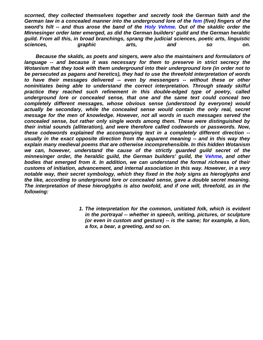*scorned, they collected themselves together and secretly took the German faith and the German law in a concealed manner into the underground lore of the fem (five) fingers of the sword's hilt -- and thus arose the band of the Holy Vehme. Out of the skaldic order the Minnesinger order later emerged, as did the German builders' guild and the German heraldic guild. From all this, in broad branchings, sprang the judicial sciences, poetic arts, linguistic sciences, graphic arts, and so on.*

*Because the skalds, as poets and singers, were also the maintainers and formulators of language -- and because it was necessary for them to preserve in strict secrecy the Wotanism that they took with them underground into their underground lore (in order not to be persecuted as pagans and heretics), they had to use the threefold interpretation of words to have their messages delivered -- even by messengers -- without these or other noninitiates being able to understand the correct interpretation. Through steady skilful practice they reached such refinement in this double-edged type of poetry, called underground lore or concealed sense, that one and the same text could conceal two completely different messages, whose obvious sense (understood by everyone) would actually be secondary, while the concealed sense would contain the only real, secret message for the men of knowledge. However, not all words in such messages served the concealed sense, but rather only single words among them. These were distinguished by their initial sounds (alliteration), and were therefore called codewords or passwords. Now, these codewords explained the accompanying text in a completely different direction - usually in the exact opposite direction from the apparent meaning -- and in this way they explain many medieval poems that are otherwise incomprehensible. In this hidden Wotanism we can, however, understand the cause of the strictly guarded guild secret of the minnesinger order, the heraldic guild, the German builders' guild, the Vehme, and other bodies that emerged from it. In addition, we can understand the formal richness of their customs of initiation, advancement, and internal association in this way. However, in a very notable way, their secret symbology, which they fixed in the holy signs as hieroglyphs and the like, according to underground lore or concealed sense, gave a double secret meaning. The interpretation of these hieroglyphs is also twofold, and if one will, threefold, as in the following:*

> *1. The interpretation for the common, unitiated folk, which is evident in the portrayal -- whether in speech, writing, pictures, or sculpture (or even in custom and gesture) -- is the same; for example, a lion, a fox, a bear, a greeting, and so on.*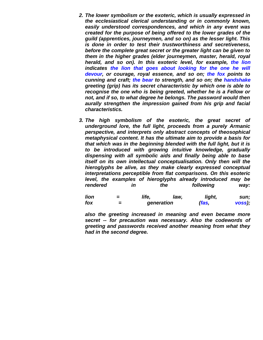- *2. The lower symbolism or the exoteric, which is usually expressed in the ecclesiastical clerical understanding or in commonly known, easily understood correspondences, and which in any event was created for the purpose of being offered to the lower grades of the guild (apprentices, journeymen, and so on) as the lesser light. This is done in order to test their trustworthiness and secretiveness, before the complete great secret or the greater light can be given to them in the higher grades (elder journeymen, master, herald, royal herald, and so on). In this exoteric level, for example, the lion indicates the lion that goes about looking for the one he will devour, or courage, royal essence, and so on; the fox points to cunning and craft; the bear to strength, and so on; the handshake greeting (grip) has its secret characteristic by which one is able to recognise the one who is being greeted, whether he is a Fellow or not, and if so, to what degree he belongs. The password would then aurally strengthen the impression gained from his grip and facial characteristics.*
- *3. The high symbolism of the esoteric, the great secret of underground lore, the full light, proceeds from a purely Armanic perspective, and interprets only abstract concepts of theosophical metaphysical content. It has the ultimate aim to provide a basis for that which was in the beginning blended with the full light, but it is to be introduced with growing intuitive knowledge, gradually dispensing with all symbolic aids and finally being able to base itself on its own intellectual conceptualisation. Only then will the hieroglyphs be alive, as they make clearly expressed conceptual interpretations perceptible from flat comparisons. On this esoteric level, the examples of hieroglyphs already introduced may be rendered in the following way:*

| lion | $\overline{\phantom{0}}$<br>$\overline{\phantom{a}}$ | life,      | law, | light, | sun;   |
|------|------------------------------------------------------|------------|------|--------|--------|
| fox  | -<br>-                                               | generation |      | (fas,  | voss); |

*also the greeting increased in meaning and even became more secret -- for precaution was necessary. Also the codewords of greeting and passwords received another meaning from what they had in the second degree.*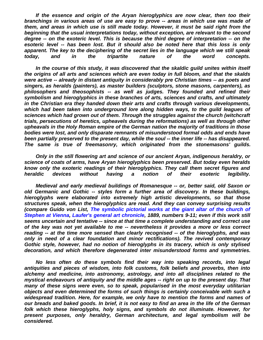*If the essence and origin of the Aryan hieroglyphics are now clear, then too their branchings in various areas of use are easy to prove -- areas in which use was made of them, and areas in which use is still made today. However, it must be said right from the beginning that the usual interpretations today, without exception, are relevant to the second degree -- on the exoteric level. This is because the third degree of interpretation -- on the esoteric level -- has been lost. But it should also be noted here that this loss is only apparent. The key to the deciphering of the secret lies in the language which we still speak today, and in the tripartite nature of the word concepts.*

*In the course of this study, it was discovered that the skaldic guild unites within itself the origins of all arts and sciences which are even today in full bloom, and that the skalds were active -- already in distant antiquity in considerably pre Christian times -- as poets and singers, as heralds (painters), as master builders (sculptors, stone masons, carpenters), as philosophers and theosophists -- as well as judges. They founded and refined their symbolism and hieroglyphics in these branches of arts, sciences and crafts, and ultimately in the Christian era they handed down their arts and crafts through various developments, which had been taken into underground lore along hidden ways, to the guild leagues of sciences which had grown out of them. Through the struggles against the church (witchcraft trials, persecutions of heretics, upheavels during the reformations) as well as through other upheavals in the Holy Roman empire of the German nation the majority of traditions in those bodies were lost, and only disparate remnants of misunderstood formal odds and ends have been partially preserved to the present day, while the soul -- the inner life -- has disappeared. The same is true of freemasonry, which originated from the stonemasons' guilds.*

*Only in the still flowering art and science of our ancient Aryan, indigenous heraldry, or science of coats of arms, have Aryan hieroglyphics been preserved. But today even heralds know only the exoteric readings of their hieroglyphics. They call them secret figures and heraldic devices without having a notion of their esoteric legibility.*

*Medieval and early medieval buildings of Romanesque -- or, better said, old Saxon or old Germanic and Gothic -- styles form a further area of discovery. In these buildings, hieroglyphs were elaborated into extremely high artistic developments, so that those structures speak, when the hieroglyphics are read. And they can convey surprising results (compare Guido von List, The symbolic pictorial works at the giant altar of the church of Stephen at Vienna, Laufer's general art chronicle, 1889, numbers 9-11; even if this work still seems uncertain and tentative -- since at that time a complete understanding and correct use of the key was not yet available to me -- nevertheless it provides a more or less correct reading -- at the time more sensed than clearly recognised -- of the hieroglyphs, and was only in need of a clear foundation and minor rectifications). The revived contemporary Gothic style, however, had no notion of hieroglyphs in its tracery, which is only stylised decoration, and which therefore degenerated inter misunderstood forms and symmetries.*

*No less often do these symbols find their way into speaking records, into legal antiquities and pieces of wisdom, into folk customs, folk beliefs and proverbs, then into alchemy and medicine, into astronomy, astrology, and into all disciplines related to the mystical endeavours of antiquity and the middle ages -- right on up to the present day. That many of these signs were even, so to speak, popularised in the most everyday utilitarian objects and even determined the forms of such things is certainly conceivable with such a widespread tradition. Here, for example, we only have to mention the forms and names of our breads and baked goods. In brief, it is not easy to find an area in the life of the German folk which these hieroglyphs, holy signs, and symbols do not illuminate. However, for present purposes, only heraldry, German architecture, and legal symbolism will be considered.*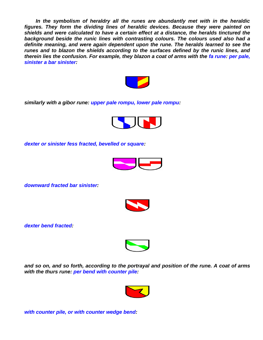*In the symbolism of heraldry all the runes are abundantly met with in the heraldic figures. They form the dividing lines of heraldic devices. Because they were painted on shields and were calculated to have a certain effect at a distance, the heralds tinctured the background beside the runic lines with contrasting colours. The colours used also had a definite meaning, and were again dependent upon the rune. The heralds learned to see the runes and to blazon the shields according to the surfaces defined by the runic lines, and therein lies the confusion. For example, they blazon a coat of arms with the fa rune: per pale, sinister a bar sinister:*



*similarly with a gibor rune: upper pale rompu, lower pale rompu:*



*dexter or sinister fess fracted, bevelled or square:*



*downward fracted bar sinister:*



*dexter bend fracted:*



*and so on, and so forth, according to the portrayal and position of the rune. A coat of arms with the thurs rune: per bend with counter pile:*



*with counter pile, or with counter wedge bend:*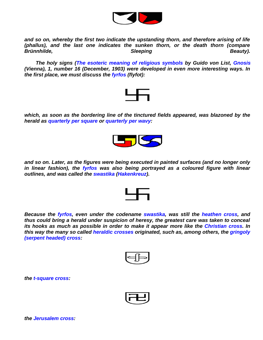

*and so on, whereby the first two indicate the upstanding thorn, and therefore arising of life (phallus), and the last one indicates the sunken thorn, or the death thorn (compare Brünnhilde, Sleeping Beauty).*

*The holy signs (The esoteric meaning of religious symbols by Guido von List, Gnosis (Vienna), 1, number 16 (December, 1903) were developed in even more interesting ways. In the first place, we must discuss the fyrfos (flyfot):*



*which, as soon as the bordering line of the tinctured fields appeared, was blazoned by the herald as quarterly per square or quarterly per wavy:*



*and so on. Later, as the figures were being executed in painted surfaces (and no longer only in linear fashion), the fyrfos was also being portrayed as a coloured figure with linear outlines, and was called the swastika (Hakenkreuz).*



*Because the fyrfos, even under the codename swastika, was still the heathen cross, and thus could bring a herald under suspicion of heresy, the greatest care was taken to conceal its hooks as much as possible in order to make it appear more like the Christian cross. In this way the many so called heraldic crosses originated, such as, among others, the gringoly (serpent headed) cross:*



*the t-square cross:*



*the Jerusalem cross:*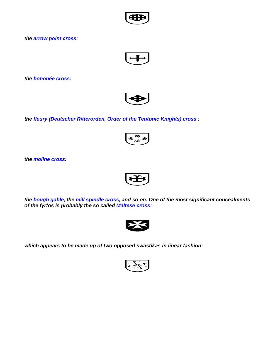

*the arrow point cross:*



*the bononée cross:*



*the fleury (Deutscher Ritterorden, Order of the Teutonic Knights) cross :*



*the moline cross:*



*the bough gable, the mill spindle cross, and so on. One of the most significant concealments of the fyrfos is probably the so called Maltese cross:*



*which appears to be made up of two opposed swastikas in linear fashion:*

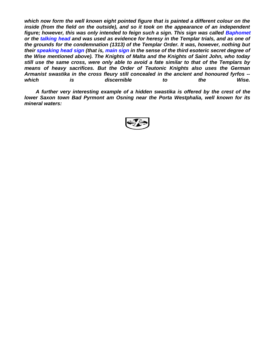*which now form the well known eight pointed figure that is painted a different colour on the inside (from the field on the outside), and so it took on the appearance of an independent figure; however, this was only intended to feign such a sign. This sign was called Baphomet or the talking head and was used as evidence for heresy in the Templar trials, and as one of the grounds for the condemnation (1313) of the Templar Order. It was, however, nothing but their speaking head sign (that is, main sign in the sense of the third esoteric secret degree of the Wise mentioned above). The Knights of Malta and the Knights of Saint John, who today still use the same cross, were only able to avoid a fate similar to that of the Templars by means of heavy sacrifices. But the Order of Teutonic Knights also uses the German Armanist swastika in the cross fleury still concealed in the ancient and honoured fyrfos - which is discernible to the Wise.*

*A further very interesting example of a hidden swastika is offered by the crest of the lower Saxon town Bad Pyrmont am Osning near the Porta Westphalia, well known for its mineral waters:*

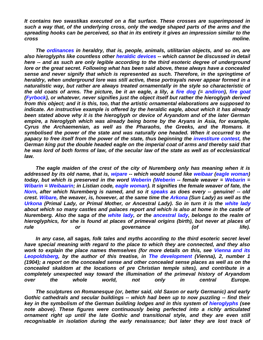*It contains two swastikas executed on a flat surface. These crosses are superimposed in such a way that, of the underlying cross, only the wedge shaped parts of the arms and the spreading hooks can be perceived, so that in its entirety it gives an impression similar to the cross moline.*

*The ordinances in heraldry, that is, people, animals, utilitarian objects, and so on, are also hieroglyphs like countless other heraldic devices -- which cannot be discussed in detail here -- and as such are only legible according to the third esoteric degree of underground lore or the great secret. Following what has been said above, these always have a concealed sense and never signify that which is represented as such. Therefore, in the springtime of heraldry, when underground lore was still active, these portrayals never appear formed in a naturalistic way, but rather are always treated ornamentally in the style so characteristic of the old coats of arms. The picture, be it an eagle, a lily, a fire dog (= andiron), fire goat (Fyrbock), or whatever, never signifies just the object itself but rather the hieroglyph derived from this object; and it is this, too, that the artistic ornamental elaborations are supposed to indicate. An instructive example is offered by the heraldic eagle, about which it has already been stated above why it is the hieroglyph or device of Aryandom and of the later German empire, a hieroglyph which was already being borne by the Aryans in Asia, for example, Cyrus the Archaemenian, as well as the Pharaohs, the Greeks, and the Romans. It symbolised the power of the state and was naturally one headed. When it occurred to the papacy to free itself from the power of the state, thus beginning the investiture contest, the German king put the double headed eagle on the imperial coat of arms and thereby said that he was lord of both forms of law, of the secular law of the state as well as of ecclesiastical law.*

*The eagle maiden of the crest of the city of Nuremberg only has meaning when it is addressed by its old name, that is, wipare -- which would sound like weibaar (eagle woman) today, but which is preserved in the word Weberin (Weberin -- female weaver = Webarin = Wibarin = Weibaarin; in Listian code, eagle woman). It signifies the female weaver of fate, the Norn, after which Nuremberg is named, and so it speaks as does every -- genuine! -- old crest. Wibare, the weaver, is, however, at the same time the Arkona (Sun Lady) as well as the Urkona (Primal Lady, or Primal Mother, or Ancestral Lady). So in turn it is the white lady about which so many castles and palaces report and which is also at home in the castle of Nuremberg. Also the saga of the white lady, or the ancestral lady, belongs to the realm of hieroglyphics, for she is found at places of primeval origins (birth), but never at places of rule or governance (of life).*

*In any case, all sagas, folk tales and myths according to the third esoteric secret level have special meaning with regard to the place to which they are connected, and they also work to explain the place names themselves (for more details on this, see Vienna and its Leopoldsberg, by the author of this treatise, in The development (Vienna), 2, number 1 (1904); a report on the concealed sense and other concealed sense places as well as on the concealed skaldom at the locations of pre Christian temple sites), and contribute in a completely unexpected way toward the illumination of the primeval history of Aryandom over the whole world, not only in central Europe.*

*The sculptures on Romanesque (or, better said, old Saxon or early Germanic) and early Gothic cathedrals and secular buildings -- which had been up to now puzzling -- find their key in the symbolism of the German building lodges and in this system of hieroglyphs (see note above). These figures were continuously being perfected into a richly articulated ornament right up until the late Gothic and transitional style, and they are even still recognisable in isolation during the early renaissance; but later they are lost track of*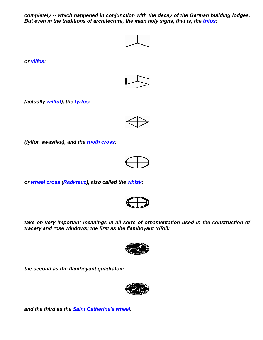*completely -- which happened in conjunction with the decay of the German building lodges. But even in the traditions of architecture, the main holy signs, that is, the trifos:*



*or vilfos:*



*(actually willfol), the fyrfos:*



*(fylfot, swastika), and the ruoth cross:*



*or wheel cross (Radkreuz), also called the whisk:*



*take on very important meanings in all sorts of ornamentation used in the construction of tracery and rose windows; the first as the flamboyant trifoil:*



*the second as the flamboyant quadrafoil:*



*and the third as the Saint Catherine's wheel:*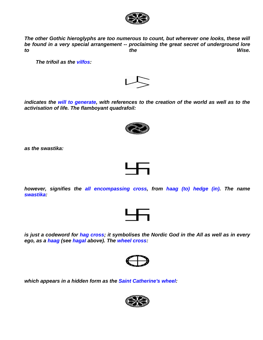

*The other Gothic hieroglyphs are too numerous to count, but wherever one looks, these will be found in a very special arrangement -- proclaiming the great secret of underground lore to the Wise.*

*The trifoil as the vilfos:*



*indicates the will to generate, with references to the creation of the world as well as to the activisation of life. The flamboyant quadrafoil:*



*as the swastika:*



*however, signifies the all encompassing cross, from haag (to) hedge (in). The name swastika:*

*is just a codeword for hag cross; it symbolises the Nordic God in the All as well as in every ego, as a haag (see hagal above). The wheel cross:*



*which appears in a hidden form as the Saint Catherine's wheel:*

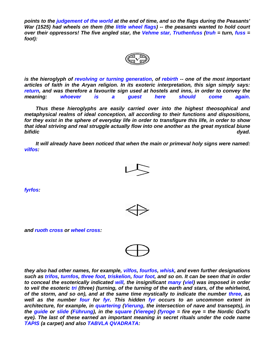*points to the judgement of the world at the end of time, and so the flags during the Peasants' War (1525) had wheels on them (the little wheel flags) -- the peasants wanted to hold court over their oppressors! The five angled star, the Vehme star, Truthenfuss (truh = turn, fuss = foot):*



*is the hieroglyph of revolving or turning generation, of rebirth -- one of the most important articles of faith in the Aryan religion. In its exoteric interpretation, this sign simply says: return, and was therefore a favourite sign used at hostels and inns, in order to convey the meaning: whoever is a guest here should come again.*

*Thus these hieroglyphs are easily carried over into the highest theosophical and metaphysical realms of ideal conception, all according to their functions and dispositions, for they exist in the sphere of everyday life in order to transfigure this life, in order to show that ideal striving and real struggle actually flow into one another as the great mystical biune bifidic dyad.*

*It will already have been noticed that when the main or primeval holy signs were named: vilfos:*



*fyrfos:*



*and ruoth cross or wheel cross:*



*they also had other names, for example, vilfos, fourfos, whisk, and even further designations such as trifos, turnfos, three foot, triskelion, four foot, and so on. It can be seen that in order to conceal the esoterically indicated will, the insignificant many (viel) was imposed in order to veil the esoteric tri (three) (turning, of the turning of the earth and stars, of the whirlwind, of the storm, and so on), and at the same time mystically to indicate the number three, as well as the number four for fyr. This hidden fyr occurs to an uncommon extent in architecture, for example, in quartering (Vierung, the intersection of nave and transepts), in the guide or slide (Führung), in the square (Vierege) (fyroge = fire eye = the Nordic God's eye). The last of these earned an important meaning in secret rituals under the code name TAPIS (a carpet) and also TABVLA QVADRATA:*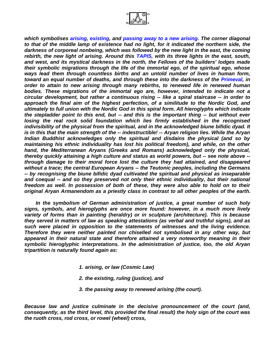

*which symbolises arising, existing, and passing away to a new arising. The corner diagonal to that of the middle lamp of existence had no light, for it indicated the northern side, the darkness of corporeal nonbeing, which was followed by the new light in the east, the coming rebirth, the new light of arising. Around this TAPIS, with its three lights in the east, south, and west, and its mystical darkness in the north, the Fellows of the builders' lodges made their symbolic migrations through the life of the immortal ego, of the spiritual ego, whose ways lead them through countless births and an untold number of lives in human form, toward an equal number of deaths, and through these into the darkness of the Primeval, in order to attain to new arising through many rebirths, to renewed life in renewed human bodies. These migrations of the immortal ego are, however, intended to indicate not a circular development, but rather a continuous rising -- like a spiral staircase -- in order to approach the final aim of the highest perfection, of a similitude to the Nordic God, and ultimately to full union with the Nordic God in this spiral form. All hieroglyphs which indicate the stepladder point to this end, but -- and this is the important thing -- but without ever losing the real rock solid foundation which lies firmly established in the recognised indivisibility of the physical from the spiritual, and in the acknowledged biune bifidic dyad. It is in this that the main strength of the -- indestructible! -- Aryan religion lies. While the Aryan Indian Buddhist acknowledges only the spiritual and disdains the physical (and so by maintaining his ethnic individuality has lost his political freedom), and while, on the other hand, the Mediterranean Aryans (Greeks and Romans) acknowledged only the physical, thereby quickly attaining a high culture and status as world powers, but -- see note above - through damage to their moral force lost the culture they had attained, and disappeared without a trace; the central European Aryans -- the Teutonic peoples, including the Germans -- by recognising the biune bifidic dyad cultivated the spiritual and physical as inseparable and coequal -- and so they preserved not only their ethnic individuality, but their national freedom as well. In possession of both of these, they were also able to hold on to their original Aryan Armanendom as a priestly class in contrast to all other peoples of the earth.*

*In the symbolism of German administration of justice, a great number of such holy signs, symbols, and hieroglyphs are once more found: however, in a much more lively variety of forms than in painting (heraldry) or in sculpture (architecture). This is because they served in matters of law as speaking attestations (as verbal and truthful signs), and as such were placed in opposition to the statements of witnesses and the living evidence. Therefore they were neither painted nor chiselled not symbolised in any other way, but appeared in their natural state and therefore attained a very noteworthy meaning in their symbolic hieroglyphic interpretations. In the administration of justice, too, the old Aryan tripartition is naturally found again as:*

- *1. arising, or law (Cosmic Law)*
- *2. the existing, ruling (justice), and*
- *3. the passing away to renewed arising (the court).*

*Because law and justice culminate in the decisive pronouncement of the court (and, consequently, as the third level, this provided the final result) the holy sign of the court was the ruoth cross, rod cross, or rowel (wheel) cross,*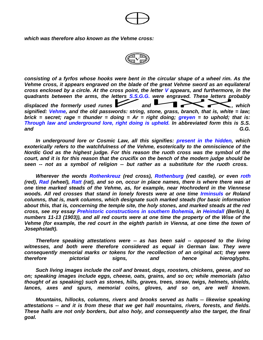

*which was therefore also known as the Vehme cross:*

*consisting of a fyrfos whose hooks were bent in the circular shape of a wheel rim. As the Vehme cross, it appears engraved on the blade of the great Vehme sword as an equilateral cross enclosed by a circle. At the cross point, the letter V appears, and furthermore, in the quadrants between the arms, the letters S.S.G.G. were engraved. These letters probably* displaced the formerly used runes  $\overline{\phantom{a}}$  and  $\overline{\phantom{a}}$   $\overline{\phantom{a}}$   $\overline{\phantom{a}}$ . which *signified: Vehme, and the old passwords: string, stone, grass, branch, that is, white = law; brick = secret; rage = thunder = doing = Ar = right doing; greyen = to uphold; that is: Through law and underground lore, right doing is upheld. In abbreviated form this is S.S. and G.G.*

*In underground lore or Cosmic Law, all this signifies: present in the hidden, which exoterically refers to the watchfulness of the Vehme, esoterically to the omniscience of the Nordic God as the highest judge. For this reason the ruoth cross was the symbol of the court, and it is for this reason that the crucifix on the bench of the modern judge should be seen -- not as a symbol of religion -- but rather as a substitute for the ruoth cross.* 

*Wherever the words Rothenkreuz (red cross), Rothenburg (red castle), or even roth (red), Rad (wheel), Ratt (rat), and so on, occur in place names, there is where there was at one time marked steads of the Vehme, as, for example, near Hochroderd in the Viennese woods. All red crosses that stand in lonely forests were at one time Irminsuls or Roland columns, that is, mark columns, which designate such marked steads (for basic information about this, that is, concerning the temple site, the holy stones, and marked steads at the red cross, see my essay Prehistoric constructions in southern Bohemia, in Heimdall (Berlin) 8, numbers 11-13 (1903)), and all red courts were at one time the property of the Wise of the Vehme (for example, the red court in the eighth parish in Vienna, at one time the town of Josephstadt).* 

*Therefore speaking attestations were -- as has been said -- opposed to the living witnesses, and both were therefore considered as equal in German law. They were consequently memorial marks or tokens for the recollection of an original act; they were therefore pictorial signs, and hence hieroglyphs.*

*Such living images include the coif and breast, dogs, roosters, chickens, geese, and so on; speaking images include eggs, cheese, oats, grains, and so on; while memorials (also thought of as speaking) such as stones, hills, graves, trees, straw, twigs, helmets, shields, lances, axes and spurs, memorial coins, gloves, and so on, are well known.*

*Mountains, hillocks, columns, rivers and brooks served as halls -- likewise speaking attestations -- and it is from these that we get hall mountains, rivers, forests, and fields. These halls are not only borders, but also holy, and consequently also the target, the final goal.*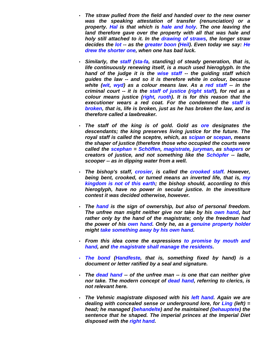- *The straw pulled from the field and handed over to the new owner was the speaking attestation of transfer (renunciation) or a property. Hal is that which is hale and holy. The one leaving the land therefore gave over the property with all that was hale and holy still attached to it. In the drawing of straws, the longer straw decides the lot -- as the greater boon (Heil). Even today we say: He drew the shorter one, when one has bad luck.*
- *Similarly, the staff (sta-fa, standing) of steady generation, that is, life continuously renewing itself, is a much used hieroglyph. In the hand of the judge it is the wise staff -- the guiding staff which guides the law -- and so it is therefore white in colour, because white (wit, wyd) as a colour means law. As a red staff -- in the criminal court -- it is the staff of justice (right staff), for red as a colour means justice (right, ruoth). It is for this reason that the executioner wears a red coat. For the condemned the staff is broken, that is, life is broken, just as he has broken the law, and is therefore called a lawbreaker.*
- *The staff of the king is of gold. Gold as ore designates the descendants; the king preserves living justice for the future. The royal staff is called the sceptre, which, as scipan or scepan, means the shaper of justice (therefore those who occupied the courts were called the scephan = Schöffen, magistrate, juryman, as shapers or creators of justice, and not something like the Schöpfer -- ladle, scooper -- as in dipping water from a well.*
- *The bishop's staff, crosier, is called the crooked staff. However, being bent, crooked, or turned means an inverted life, that is, my kingdom is not of this earth; the bishop should, according to this hieroglyph, have no power in secular justice. In the investiture contest it was decided otherwise, however.*
- *The hand is the sign of ownership, but also of personal freedom. The unfree man might neither give nor take by his own hand, but rather only by the hand of the magistrate; only the freedman had the power of his own hand. Only he, as a genuine property holder might take something away by his own hand.*
- *From this idea come the expressions to promise by mouth and hand, and the magistrate shall manage the residents.*
- *The bond (Handfeste, that is, something fixed by hand) is a document or letter ratified by a seal and signature.*
- *The dead hand -- of the unfree man -- is one that can neither give nor take. The modern concept of dead hand, referring to clerics, is not relevant here.*
- *The Vehmic magistrate disposed with his left hand. Again we are dealing with concealed sense or underground lore, for Ling (left) = head; he managed (behandelte) and he maintained (behauptete) the sentence that he shaped. The imperial princes at the Imperial Diet disposed with the right hand.*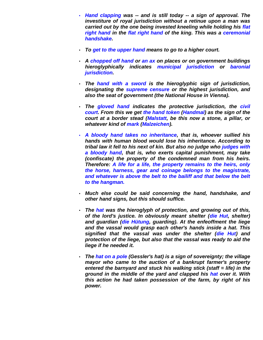- *Hand clapping was -- and is still today -- a sign of approval. The investiture of royal jurisdiction without a retinue upon a man was carried out by the one being invested kneeling while holding his flat right hand in the flat right hand of the king. This was a ceremonial handshake.*
- *To get to the upper hand means to go to a higher court.*
- *A chopped off hand or an ax on places or on government buildings hieroglyphically indicates municipal jurisdiction or baronial jurisdiction.*
- *The hand with a sword is the hieroglyphic sign of jurisdiction, designating the supreme censure or the highest jurisdiction, and also the seat of government (the National House in Vienna).*
- *The gloved hand indicates the protective jurisdiction, the civil court. From this we get the hand token (Handmal) as the sign of the court at a border stead (Malstatt, be this now a stone, a pillar, or whatever kind of mark (Malzeichen).*
- *A bloody hand takes no inheritance, that is, whoever sullied his hands with human blood would lose his inheritance. According to tribal law it fell to his next of kin. But also no judge who judges with a bloody hand, that is, who exerts capital punishment, may take (confiscate) the property of the condemned man from his heirs. Therefore: A life for a life, the property remains to the heirs, only the horse, harness, gear and coinage belongs to the magistrate, and whatever is above the belt to the bailiff and that below the belt to the hangman.*
- *Much else could be said concerning the hand, handshake, and other hand signs, but this should suffice.*
- *The hat was the hieroglyph of protection, and growing out of this, of the lord's justice. In obviously meant shelter (die Hut, shelter) and guardian (die Hütung, guarding). At the enfeoffment the liege and the vassal would grasp each other's hands inside a hat. This signified that the vassal was under the shelter (die Hut) and protection of the liege, but also that the vassal was ready to aid the liege if he needed it.*
- *The hat on a pole (Gessler's hat) is a sign of sovereignty; the village mayor who came to the auction of a bankrupt farmer's property entered the barnyard and stuck his walking stick (staff = life) in the ground in the middle of the yard and clapped his hat over it. With this action he had taken possession of the farm, by right of his power.*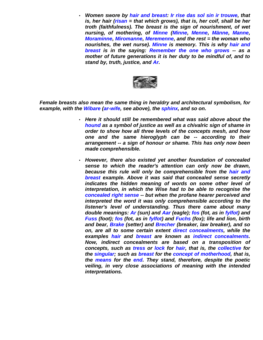• *Women swore by hair and breast: Ir rise das sol sin ir trouwe, that is, her hair (risan = that which grows), that is, her coif, shall be her troth (faithfulness). The breast is the sign of nourishment, of wet nursing, of mothering, of Minne (Minne, Menne, Männe, Manne, Moraminne, Miromanne, Meremenne, and the rest = the woman who nourishes, the wet nurse). Minne is memory. This is why hair and breast is in the saying: Remember the one who grows -- as a mother of future generations it is her duty to be mindful of, and to stand by, truth, justice, and Ar.*



*Female breasts also mean the same thing in heraldry and architectural symbolism, for example, with the Wibare (ar-wife, see above), the sphinx, and so on.* 

- *Here it should still be remembered what was said above about the hound as a symbol of justice as well as a chivalric sign of shame in order to show how all three levels of the concepts mesh, and how one and the same hieroglyph can be -- according to their arrangement -- a sign of honour or shame. This has only now been made comprehensible.*
- *However, there also existed yet another foundation of concealed sense to which the reader's attention can only now be drawn, because this rule will only be comprehensible from the hair and breast example. Above it was said that concealed sense secretly indicates the hidden meaning of words on some other level of interpretation, in which the Wise had to be able to recognise the concealed right sense -- but when the profane hearer perceived and interpreted the word it was only comprehensible according to the listener's level of understanding. Thus there came about many double meanings: Ar (sun) and Aar (eagle); fos (fot, as in fylfot) and Fuss (foot); fos (fot, as in fylfot) and Fuchs (fox); life and lion, birth and bear, Brake (setter) and Brecher (breaker, law breaker), and so on, are all to some certain extent direct concealments, while the examples hair and breast are known as indirect concealments. Now, indirect concealments are based on a transposition of concepts, such as tress or lock for hair, that is, the collective for the singular; such as breast for the concept of motherhood, that is, the means for the end. They stand, therefore, despite the poetic veiling, in very close associations of meaning with the intended interpretations.*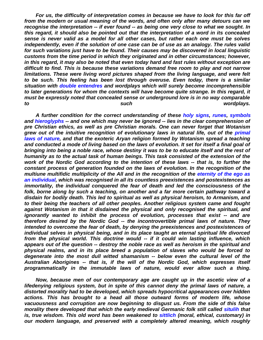*For us, the difficulty of interpretation comes in because we have to look for this far off from the modern or usual meaning of the words, and often only after many detours can we recognise the interpretation -- if ever found -- as being one very close to what we sought. In this regard, it should also be pointed out that the interpretation of a word in its concealed sense is never valid as a model for all other cases, but rather each one must be solves independently, even if the solution of one case can be of use as an analogy. The rules valid for such variations just have to be found. Their causes may be discovered in local linguistic customs from the time period in which they originated and in other circumstances; however, in this regard, it may also be noted that even today hard and fast rules without exception are difficult to find. This is because these variations demand free room to play and not narrow limitations. These were living word pictures shaped from the living language, and were felt to be such. This feeling has been lost through overuse. Even today, there is a similar situation with double entendres and wordplays which will surely become incomprehensible to later generations for whom the contexts will have become quite strange. In this regard, it must be expressly noted that concealed sense or underground lore is in no way comparable to such wordplays.*

*A further condition for the correct understanding of these holy signs, runes, symbols and hieroglyphs -- and one which may never be ignored -- lies in the clear comprehension of pre Christian ethics, as well as pre Christian morals. One can never forget that Wotanism grew out of the intuitive recognition of evolutionary laws in natural life, out of the primal laws of nature, and that the exoteric Aryan religion formed by Wotanism spread a teaching and conducted a mode of living based on the laws of evolution. It set for itself a final goal of bringing into being a noble race, whose destiny it was to be to educate itself and the rest of humanity as to the actual task of human beings. This task consisted of the extension of the work of the Nordic God according to the intention of these laws -- that is, to further the constant process of generation founded on the laws of evolution. In the recognition of the multiune multifidic multiplicity of the All and in the recognition of the eternity of the ego as an individual, which was recognised in all its countless preexistences and postexistences as immortality, the individual conquered the fear of death and led the consciousness of the folk, borne along by such a teaching, on another and a far more certain pathway toward a disdain for bodily death. This led to spiritual as well as physical heroism, to Armanism, and to their being the teachers of all other peoples. Another religious system came and fought against Wotanism in that it disdained the physical and only recognised the spiritual, and ignorantly wanted to inhibit the process of evolution, processes that exist -- and are therefore desired by the Nordic God -- the incontrovertible primal laws of nature. They intended to overcome the fear of death, by denying the preexistences and postexistences of individual selves in physical being, and in its place taught an eternal spiritual life divorced from the physical world. This doctrine would -- if it could win lasting influence, which appears out of the question -- destroy the noble race as well as heroism in the spiritual and physical realms, and in its place breed a population of slaves who would be forced to degenerate into the most dull witted shamanism -- below even the cultural level of the Australian Aborigines -- that is, if the will of the Nordic God, which expresses itself programmatically in the immutable laws of nature, would ever allow such a thing.*

*Now, because men of our contemporary age are caught up in the ascetic view of a lifedenying religious system, but in spite of this cannot deny the primal laws of nature, a distorted morality had to be developed, which spreads hypocritical appearances over hidden actions. This has brought to a head all those outward forms of modern life, whose vacuousness and corruption are now beginning to disgust us. From the side of this false morality there developed that which the early medieval Germanic folk still called situlih that is, true wisdom. This old word has been weakened to sittlich (moral, ethical, customary) in our modern language, and preserved with a completely altered meaning, which roughly*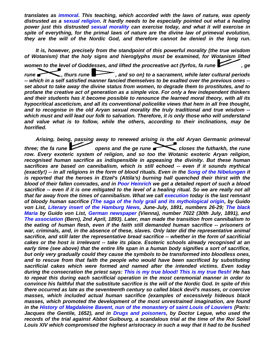*translates as immoral. This teaching, which accorded with the laws of nature, was openly distrusted as a sexual religion. It hardly needs to be especially pointed out what a healing power just this distrusted sexual morality can exercise today, and what it will exercise in spite of everything, for the primal laws of nature are the divine law of primeval evolution, they are the will of the Nordic God, and therefore cannot be denied in the long run.*

*It is, however, precisely from the standpoint of this powerful morality (the true wisdom of Wotanism) that the holy signs and hieroglyphs must be examined, for Wotanism lifted women to the level of Goddesses, and lifted the procreative act (fyrfos, fa rune*  $\blacksquare$ *, ge* rune  $\leftarrow$ , thurs rune  $\rightarrow$ , and so on) to a sacrament, while later cultural periods *-- which in a self satisfied manner fancied themselves to be exalted over the previous ones - set about to take away the divine status from women, to degrade them to prostitutes, and to profane the creative act of generation as a simple vice. For only a few independent thinkers and their students has it become possible to renounce the learned moral theory, with all its hypocritical asceticism, and all its conventional policelike views that hem in all free thought, and to recognise in the old Aryan sexual morality the truly traditional and true wisdom - which must and will lead our folk to salvation. Therefore, it is only those who will understand and value what is to follow, while the others, according to their inclinations, may be horrified.*

*Arising, being, passing away to renewed arising is the old Aryan Germanic primeval* three; the fa rune opens and the ge rune closes the futharkh, the rune *row. Every exoteric system of religion, and so too the Wotanic exoteric Aryan religion, recognised human sacrifice as indispensible in appeasing the divinity. But these human sacrifices are based on cannibalism, which is still echoed -- even if it sounds mythical (exactly!) -- in all religions in the form of blood rituals. Even in the Song of the Nibelungen it is reported that the heroes in Etzel's (Attila's) burning hall quenched their thirst with the blood of their fallen comrades, and in Poor Heinrich we get a detailed report of such a blood sacrifice -- even if it is one mitigated to the level of a healing ritual. So we are really not all that far away from the times of cannibalism. What we call execution today is the last remnant of bloody human sacrifice (The saga of the holy grail and its mythological origin, by Guido von List, Literary insert of the Hamburg News, June-July, 1891, numbers 26-29; The black Maria by Guido von List, German newspaper (Vienna), number 7022 (30th July, 1891), and The association (Bern), 2nd April, 1893). Later, man made the transition from cannibalism to the eating of human flesh, even if the faith still demanded human sacrifice -- prisoners of war, criminals, and, in the absence of these, slaves. Only later did the representative animal sacrifice, and still later the representative bread sacrifice -- whether in the form of sacrificial cakes or the host is irrelevant -- take its place. Esoteric schools already recognised at an early time (see above) that the entire life span in a human body signifies a sort of sacrifice, but only very gradually could they cause the symbols to be transformed into bloodless ones, and to rescue from that faith the people who would have been sacrificed by substituting sacrificial cakes which were formed and named after the intended victims. Even today during the consecration the priest says: This is my true blood! This is my true flesh! He has to repeat this during each sacrificial operation in the most ceremonial manner in order to convince his faithful that the substitute sacrifice is the will of the Nordic God. In spite of this there occurred as late as the seventeenth century so called black devil's masses, or coercive masses, which included actual human sacrifice (examples of excessively hideous black masses, which promoted the development of the most unrestrained imagination, are found in the History of Magdaleine Bavent, nun of the monastery of saint Louis of Louviers (Paris: Jacques the Gentile, 1652), and in Drugs and poisoners, by Doctor Legue, who used the records of the trial against Abbot Guibourg, a scandalous trial at the time of the Roi Soleil Louis XIV which compromised the highest aristocracy in such a way that it had to be hushed*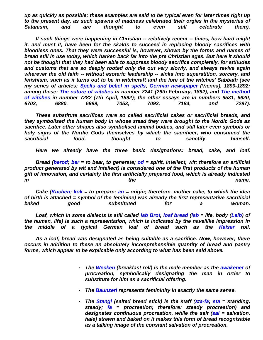*up as quickly as possible; these examples are said to be typical even for later times right up to the present day, as such spawns of madness celebrated their orgies in the mysteries of Satanism, and are thought to even still celebrate them).*

*If such things were happening in Christian -- relatively recent -- times, how hard might it, and must it, have been for the skalds to succeed in replacing bloody sacrifices with bloodless ones. That they were successful is, however, shown by the forms and names of bread still in use today, which harken back far into the pre Christian ages. But here it should not be thought that they had been able to suppress bloody sacrifice completely, for attitudes and customs that are so deeply rooted only die out very slowly, and always revive again wherever the old faith -- without esoteric leadership -- sinks into superstition, sorcery, and fetishism, such as it turns out to be in witchcraft and the lore of the witches' Sabbath (see my series of articles: Spells and belief in spells, German newspaper (Vienna), 1890-1892; among these: The nature of witches in number 7241 (26th February, 1892), and The method of witches in number 7282 (7th April, 1892); the other essays are in numbers 6531, 6620, 6703, 6880, 6999, 7053, 7093, 7184, and 7297).*

*These substitute sacrifices were so called sacrificial cakes or sacrificial breads, and they symbolised the human body in whose stead they were brought to the Nordic Gods as sacrifice. Later other shapes also symbolised animal bodies, and still later even symbols or holy signs of the Nordic Gods themselves by which the sacrificer, who consumed the sacrificial food, thought to sanctify himself.*

*Here we already have the three basic designations: bread, cake, and loaf.*

*Bread (berod; ber = to bear, to generate; od = spirit, intellect, wit; therefore an artificial product generated by wit and intellect) is considered one of the first products of the human gift of innovation, and certainly the first artificially prepared food, which is already indicated in the name.*

*Cake (Kuchen; kok = to prepare; an = origin; therefore, mother cake, to which the idea of birth is attached = symbol of the feminine) was already the first representative sacrificial baked good substituted for a woman.*

*Loaf, which in some dialects is still called lab Brot, loaf bread (lab = life, body (Leib) of the human, life) is such a representation, which is indicated by the navellike impression in the middle of a typical German loaf of bread such as the Kaiser roll.*

*As a loaf, bread was designated as being suitable as a sacrifice. Now, however, there occurs in addition to these an absolutely incomprehensible quantity of bread and pastry forms, which appear to be explicable only according to what has been said above.*

- *The Wecken (breakfast roll) is the male member as the awakener of procreation, symbolically designating the man in order to substitute for him as a sacrificial offering.*
- *The Baunzerl represents femininity in exactly the same sense.*
- *The Stangl (salted bread stick) is the staff (sta-fa; sta = standing, steady; fa = procreation; therefore: steady procreation) and designates continuous procreation, while the salt (sal = salvation, hale) strewn and baked on it makes this form of bread recognisable as a talking image of the constant salvation of procreation.*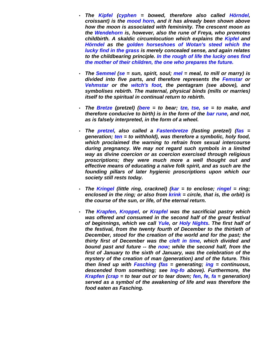- *The Kipfel (cyphen = bowed, therefore also called Hörndel, croissant) is the mood horn, and it has already been shown above how the moon is associated with femininity. The crescent moon as the Wendehorn is, however, also the rune of Freya, who promotes childbirth. A skaldic circumlocution which explains the Kipfel and Hörndel as the golden horseshoes of Wotan's steed which the lucky find in the grass is merely concealed sense, and again relates to the childbearing principle. In the rough of life the lucky ones find the mother of their children, the one who prepares the future.*
- *The Semmel (se = sun, spirit, soul; mel = meal, to mill or marry) is divided into five parts, and therefore represents the Femstar or Vehmstar or the witch's foot, the pentagram (see above), and symbolises rebirth. The maternal, physical binds (mills or marries) itself to the spiritual in continual return to rebirth.*
- *The Bretze (pretzel) (bere = to bear; tze, tse, se = to make, and therefore conducive to birth) is in the form of the bar rune, and not, as is falsely interpreted, in the form of a wheel.*
- *The pretzel, also called a Fastenbretze (fasting pretzel) (fas = generation; ten = to withhold), was therefore a symbolic, holy food, which proclaimed the warning to refrain from sexual intercourse during pregnancy. We may not regard such symbols in a limited way as divine coercion or as coercion exercised through religious proscriptions; they were much more a well thought out and effective means of educating a naïve folk spirit, and as such are the founding pillars of later hygienic proscriptions upon which our society still rests today.*
- *The Kringel (little ring, cracknel) (kar = to enclose; ringel = ring; enclosed in the ring; or also from krink = circle, that is, the orbit) is the course of the sun, or life, of the eternal return.*
- *The Krapfen, Kroppel, or Krapfel was the sacrificial pastry which was offered and consumed in the second half of the great festival of beginnings, which we call Yule, or Holy Nights. The first half of the festival, from the twenty fourth of December to the thirtieth of December, stood for the creation of the world and for the past; the thirty first of December was the cleft in time, which divided and bound past and future -- the now; while the second half, from the first of January to the sixth of January, was the celebration of the mystery of the creation of man (generation) and of the future. This then lined up with Fasching (fas = generating; ing = continuous, descended from something; see Ing-fo above). Furthermore, the Krapfen (crap = to tear out or to tear down; fen, fe, fa = generation) served as a symbol of the awakening of life and was therefore the food eaten as Fasching.*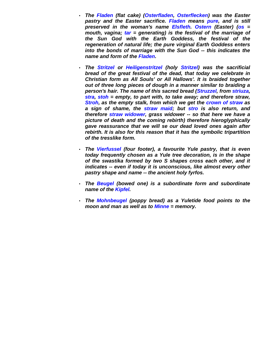- *The Fladen (flat cake) (Osterfladen, Osterflecken) was the Easter pastry and the Easter sacrifice. Fladen means pure, and is still preserved in the woman's name Elsfleth. Ostern (Easter) (os = mouth, vagina; tar = generating) is the festival of the marriage of the Sun God with the Earth Goddess, the festival of the regeneration of natural life; the pure virginal Earth Goddess enters into the bonds of marriage with the Sun God -- this indicates the name and form of the Fladen.*
- *The Stritzel or Heiligenstritzel (holy Stritzel) was the sacrificial bread of the great festival of the dead, that today we celebrate in Christian form as All Souls' or All Hallows'. It is braided together out of three long pieces of dough in a manner similar to braiding a person's hair. The name of this sacred bread (Struzzel, from striuza, stra, stoh = empty, to part with, to take away; and therefore straw, Stroh, as the empty stalk, from which we get the crown of straw as a sign of shame, the straw maid; but stro is also return, and therefore straw widower, grass widower -- so that here we have a picture of death and the coming rebirth) therefore hieroglyphically gave reassurance that we will se our dead loved ones again after rebirth. It is also for this reason that it has the symbolic tripartition of the tresslike form.*
- *The Vierfussel (four footer), a favourite Yule pastry, that is even today frequently chosen as a Yule tree decoration, is in the shape of the swastika formed by two S shapes cross each other, and it indicates -- even if today it is unconscious, like almost every other pastry shape and name -- the ancient holy fyrfos.*
- *The Beugel (bowed one) is a subordinate form and subordinate name of the Kipfel.*
- *The Mohnbeugel (poppy bread) as a Yuletide food points to the moon and man as well as to Minne = memory.*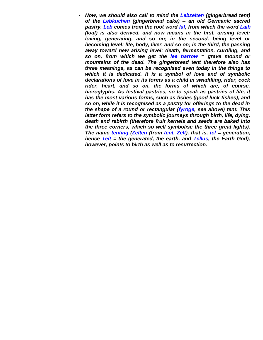• *Now, we should also call to mind the Lebzelten (gingerbread tent) of the Lebkuchen (gingerbread cake) -- an old Germanic sacred pastry. Leb comes from the root word laf, from which the word Laib (loaf) is also derived, and now means in the first, arising level: loving, generating, and so on; in the second, being level or becoming level: life, body, liver, and so on; in the third, the passing away toward new arising level: death, fermentation, curdling, and so on, from which we get the lee barrow = grave mound or mountains of the dead. The gingerbread tent therefore also has three meanings, as can be recognised even today in the things to which it is dedicated. It is a symbol of love and of symbolic declarations of love in its forms as a child in swaddling, rider, cock rider, heart, and so on, the forms of which are, of course, hieroglyphs. As festival pastries, so to speak as pastries of life, it has the most various forms, such as fishes (good luck fishes), and so on, while it is recognised as a pastry for offerings to the dead in the shape of a round or rectangular (fyroge, see above) tent. This latter form refers to the symbolic journeys through birth, life, dying, death and rebirth (therefore fruit kernels and seeds are baked into the three corners, which so well symbolise the three great lights). The name tenting (Zelten (from tent, Zelt), that is, tel = generation, hence Telt = the generated, the earth, and Tellus, the Earth God), however, points to birth as well as to resurrection.*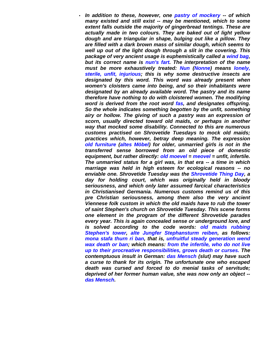• *In addition to these, however, one pastry of mockery -- of which many existed and still exist -- may be mentioned, which to some extent falls outside the majority of gingerbread tentings. These are actually made in two colours. They are baked out of light yellow dough and are triangular in shape, bulging out like a pillow. They are filled with a dark brown mass of similar dough, which seems to well up out of the light dough through a slit in the covering. This package of very ancient usage is euphemistically called a wind bag, but its correct name is nun's fart. The interpretation of the name must be more exhaustively treated: Nun (Nonne) means lonely, sterile, unfit, injurious; this is why some destructive insects are designated by this word. This word was already present when women's cloisters came into being, and so their inhabitants were designated by an already available word. The pastry and its name therefore have nothing to do with cloistered women. The modifying word is derived from the root word fas, and designates offspring. So the whole indicates something begotten by the unfit, something airy or hollow. The giving of such a pastry was an expression of scorn, usually directed toward old maids, or perhaps in another way that mocked some disability. Connected to this are numerous customs practised on Shrovetide Tuesdays to mock old maids; practices which, however, betray deep meaning. The expression old furniture (altes Möbel) for older, unmarried girls is not in the transferred sense borrowed from an old piece of domestic equipment, but rather directly: old moevel = meovel = unfit, infertile. The unmarried status for a girl was, in that era -- a time in which marriage was held in high esteem for ecological reasons -- no enviable one. Shrovetide Tuesday was the Shrovetide Thing Day, a day for holding court, which was originally held in bloody seriousness, and which only later assumed farcical characteristics in Christianised Germania. Numerous customs remind us of this pre Christian seriousness, among them also the very ancient Viennese folk custom in which the old maids have to rub the tower of saint Stephen's church on Shrovetide Tuesday. This scene forms one element in the program of the different Shrovetide parades every year. This is again concealed sense or underground lore, and is solved according to the code words: old maids rubbing Stephen's tower, alte Jungfer Stephansturm reiben, as follows: mona stafa thurn ri ban, that is, unfruitful steady generation wend wax death or ban; which means: from the infertile, who do not live up to their procreative responsibilities, grows death or curses. The contemptuous insult in German: das Mensch (slut) may have such a curse to thank for its origin. The unfortunate one who escaped death was cursed and forced to do menial tasks of servitude; deprived of her former human value, she was now only an object - das Mensch.*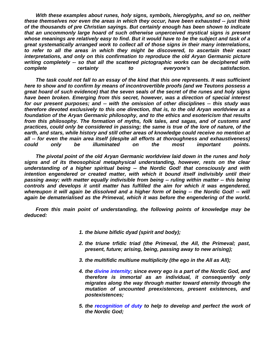*With these examples about runes, holy signs, symbols, hieroglyphs, and so on, neither these themselves nor even the areas in which they occur, have been exhausted -- just think of the thousands of pre Christian sayings. But certainly enough has been shown to indicate that an uncommonly large hoard of such otherwise unperceived mystical signs is present whose meanings are relatively easy to find. But it would have to be the subject and task of a great systematically arranged work to collect all of those signs in their many interrelations, to refer to all the areas in which they might be discovered, to ascertain their exact interpretations, and only on this confirmation to reproduce the old Aryan Germanic picture writing completely -- so that all the scattered pictographic works can be deciphered with complete certainty to everyone's satisfaction.*

*The task could not fall to an essay of the kind that this one represents. It was sufficient here to show and to confirm by means of incontrovertible proofs (and we Teutons possess a great hoard of such evidence) that the seven seals of the secret of the runes and holy signs have been broken. Emerging from this secret, however, was a direction of special interest for our present purposes; and -- with the omission of other disciplines -- this study was therefore devoted exclusively to this one direction, that is, to the old Aryan worldview as a foundation of the Aryan Germanic philosophy, and to the ethics and esotericism that results from this philosophy. The formation of myths, folk tales, and sagas, and of customs and practices, could only be considered in passing; the same is true of the lore of nature, of the earth, and stars, while history and still other areas of knowledge could receive no mention at all -- for even the main area itself (despite all efforts at thoroughness and exhaustiveness) could only be illuminated on the most important points.*

*The pivotal point of the old Aryan Germanic worldview laid down in the runes and holy signs and of its theosophical metaphysical understanding, however, rests on the clear understanding of a higher spiritual being -- the Nordic God! that consciously and with intention engendered or created matter, with which it bound itself indivisibly until their passing away; with matter equally indivisible from being -- ruling within matter -- this being controls and develops it until matter has fulfilled the aim for which it was engendered, whereupon it will again be dissolved and a higher form of being -- the Nordic God! -- will again be dematerialised as the Primeval, which it was before the engendering of the world.*

*From this main point of understanding, the following points of knowledge may be deduced:*

- *1. the biune bifidic dyad (spirit and body);*
- *2. the triune trfidic triad (the Primeval, the All, the Primeval; past, present, future; arising, being, passing away to new arising);*
- *3. the multifidic multiune multiplicity (the ego in the All as All);*
- *4. the divine internity; since every ego is a part of the Nordic God, and therefore is immortal as an individual, it consequently only migrates along the way through matter toward eternity through the mutation of uncounted preexistences, present existences, and postexistences;*
- *5. the recognition of duty to help to develop and perfect the work of the Nordic God;*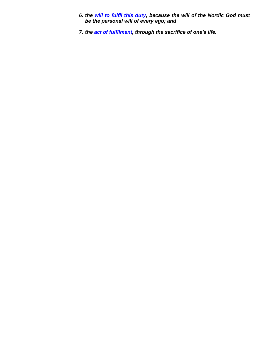- *6. the will to fulfil this duty, because the will of the Nordic God must be the personal will of every ego; and*
- *7. the act of fulfilment, through the sacrifice of one's life.*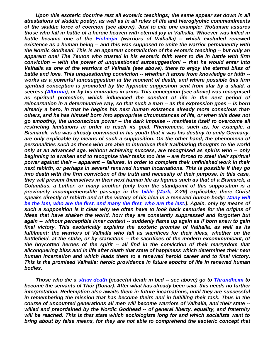*Upon this esoteric doctrine rest all exoteric teachings; the same appear set down in all attestations of skaldic poetry, as well as in all rules of life and hieroglyphic commandments of the skaldic force of coercion (see above). Just to cite one example: Wotanism assures those who fall in battle of a heroic heaven with eternal joy in Valhalla. Whoever was killed in battle became one of the Einherjar (warriors of Valhalla) -- which excluded renewed existence as a human being -- and this was supposed to unite the warrior permanently with the Nordic Godhead. This is an apparent contradiction of the esoteric teaching -- but only an apparent one! The Teuton who trusted in his esoteric faith went to die in battle with firm conviction -- with the power of unquestioned autosuggestion! -- that he would enter into Valhalla as one of the warriors of Valhalla (see above), there to enjoy the eternal bliss of battle and love. This unquestioning conviction -- whether it arose from knowledge or faith - works as a powerful autosuggestion at the moment of death, and where possible this firm spiritual conception is promoted by the hypnotic suggestion sent from afar by a skald, a seeress (Albruna), or by his comrades in arms. This conception (see above) was recognised as spiritual protection, which influenced the conduct of life in the next period of reincarnation in a determinative way, so that such a man -- as the expression goes -- is born already a hero, in that he begins his next human existence already more conscious than others, and he has himself born into appropriate circumstances of life, or when this does not go smoothly, the unconscious power -- the dark impulse -- manifests itself to overcome all restricting limitations in order to reach its goal. Phenomena, such as, for example, a Bismarck, who was already convinced in his youth that it was his destiny to unify Germany, are only explicable by means of such a supposition. On the other hand, the phenomena of personalities such as those who are able to introduce their trailblazing thoughts to the world only at an advanced age, without achieving success, are recognised as spirits who -- only beginning to awaken and to recognise their tasks too late -- are forced to steel their spiritual power against their -- apparent -- failures, in order to complete their unfinished work in their next rebirth, or perhaps in several renewed human incarnations. This is possible if they go into death with the firm conviction of the truth and necessity of their purpose. In this case, they will present themselves in their next human life as figures such as that of a Bismarck, a Columbus, a Luther, or many another (only from the standpoint of this supposition is a previously incomprehensible passage in the bible (Mark, X:29) explicable; there Christ speaks directly of rebirth and of the victory of his idea in a renewed human body: Many will be the last, who are the first, and many the first, who are the last.). Again, only by means of such a supposition is it clear why we often have to look back centuries for the origins of ideas that have shaken the world, how they are constantly suppressed and forgotten but again -- without perceptible inner context -- suddenly flame up again as if born anew to gain final victory. This esoterically explains the exoteric promise of Valhalla, as well as its fulfilment: the warriors of Valhalla who fall as sacrifices for their ideas, whether on the battlefield, at the stake, or by starvation -- the sacrifices of the modern excommunicant, of the boycotted heroes of the spirit -- all find in the conviction of their martyrdom that allconquering bliss and in life after death that state of happiness which determines their next human incarnation and which leads them to a renewed heroid career and to final victory. This is the promised Valhalla: heroic providence in future epochs of life in renewed human bodies.*

*Those who die a straw death (peaceful death in bed -- see above) go to Thrundheim to become the servants of Thór (Donar). After what has already been said, this needs no further interpretation. Redemption also awaits them in future incarnations, until they are successful in remembering the mission that has become theirs and in fulfilling their task. Thus in the course of uncounted generations all men will become warriors of Valhalla, and their state - willed and preordained by the Nordic Godhead -- of general liberty, equality, and fraternity will be reached. This is that state which sociologists long for and which socialists want to bring about by false means, for they are not able to comprehend the esoteric concept that*